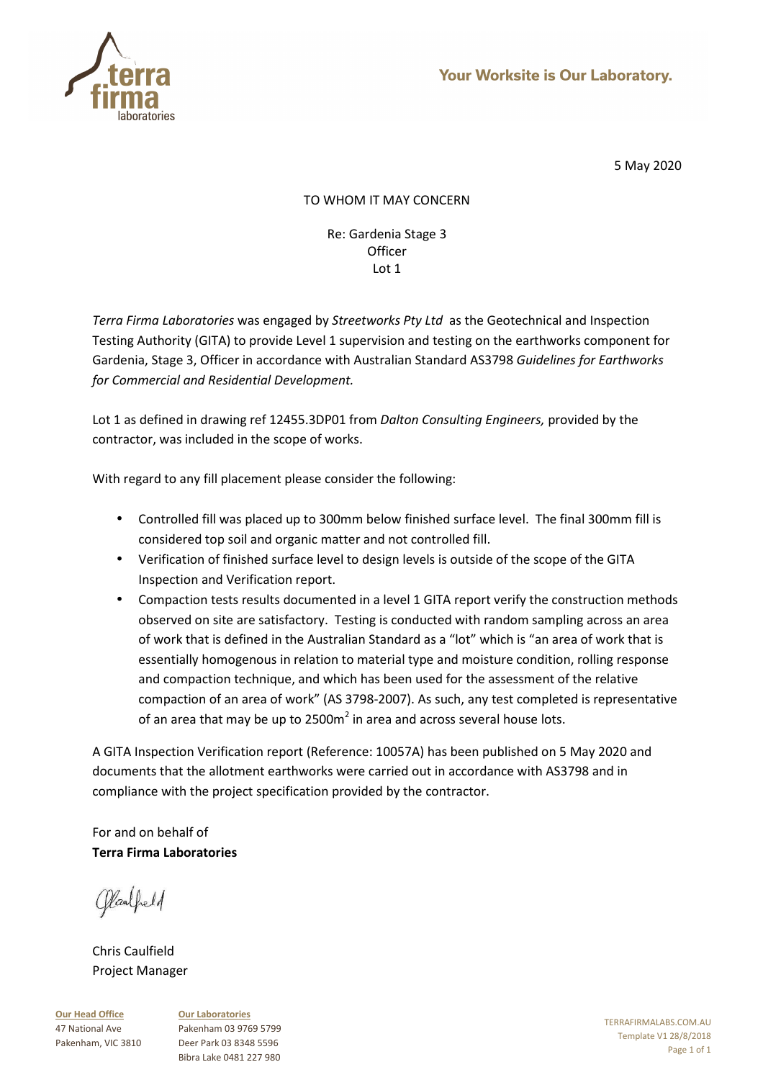

# TO WHOM IT MAY CONCERN

### Re: Gardenia Stage 3 **Officer** Lot 1

*Terra Firma Laboratories* was engaged by *Streetworks Pty Ltd* as the Geotechnical and Inspection Testing Authority (GITA) to provide Level 1 supervision and testing on the earthworks component for Gardenia, Stage 3, Officer in accordance with Australian Standard AS3798 *Guidelines for Earthworks for Commercial and Residential Development.* 

Lot 1 as defined in drawing ref 12455.3DP01 from *Dalton Consulting Engineers,* provided by the contractor, was included in the scope of works.

With regard to any fill placement please consider the following:

- Controlled fill was placed up to 300mm below finished surface level. The final 300mm fill is considered top soil and organic matter and not controlled fill.
- Verification of finished surface level to design levels is outside of the scope of the GITA Inspection and Verification report.
- Compaction tests results documented in a level 1 GITA report verify the construction methods observed on site are satisfactory. Testing is conducted with random sampling across an area of work that is defined in the Australian Standard as a "lot" which is "an area of work that is essentially homogenous in relation to material type and moisture condition, rolling response and compaction technique, and which has been used for the assessment of the relative compaction of an area of work" (AS 3798-2007). As such, any test completed is representative of an area that may be up to 2500m<sup>2</sup> in area and across several house lots.

A GITA Inspection Verification report (Reference: 10057A) has been published on 5 May 2020 and documents that the allotment earthworks were carried out in accordance with AS3798 and in compliance with the project specification provided by the contractor.

For and on behalf of **Terra Firma Laboratories** 

Claubeld

Chris Caulfield Project Manager

**Our Head Office** 47 National Ave Pakenham, VIC 3810 **Our Laboratories** Pakenham 03 9769 5799 Deer Park 03 8348 5596 Bibra Lake 0481 227 980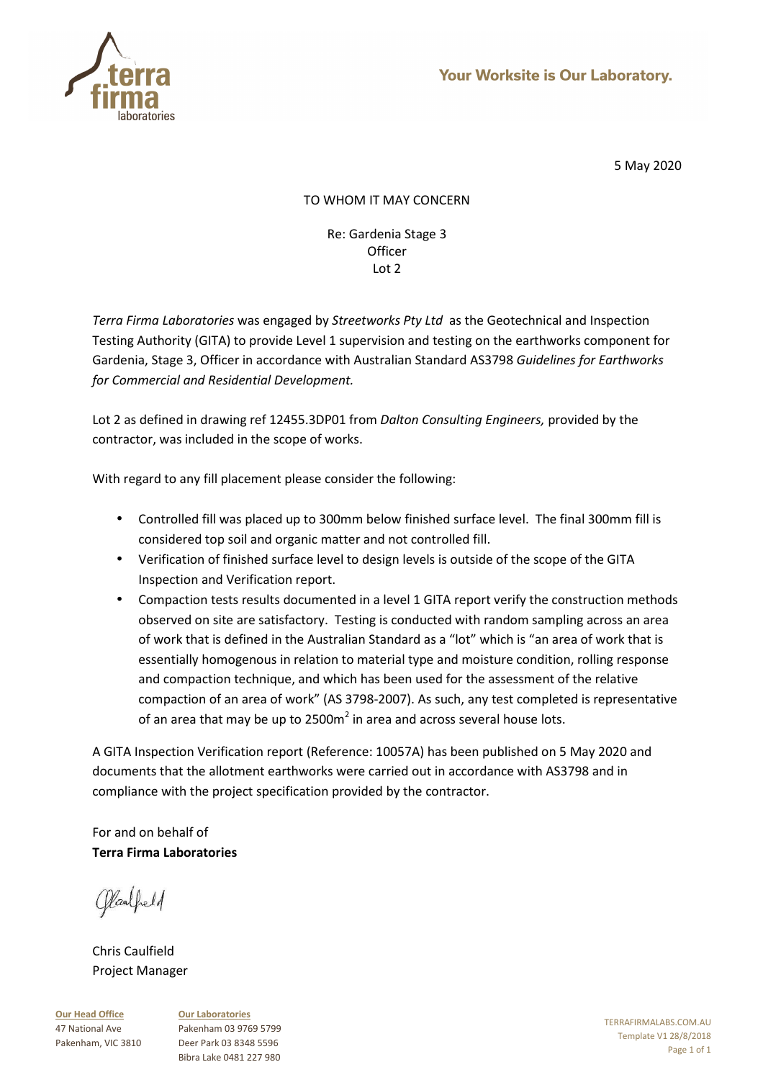

# TO WHOM IT MAY CONCERN

### Re: Gardenia Stage 3 **Officer** Lot 2

*Terra Firma Laboratories* was engaged by *Streetworks Pty Ltd* as the Geotechnical and Inspection Testing Authority (GITA) to provide Level 1 supervision and testing on the earthworks component for Gardenia, Stage 3, Officer in accordance with Australian Standard AS3798 *Guidelines for Earthworks for Commercial and Residential Development.* 

Lot 2 as defined in drawing ref 12455.3DP01 from *Dalton Consulting Engineers,* provided by the contractor, was included in the scope of works.

With regard to any fill placement please consider the following:

- Controlled fill was placed up to 300mm below finished surface level. The final 300mm fill is considered top soil and organic matter and not controlled fill.
- Verification of finished surface level to design levels is outside of the scope of the GITA Inspection and Verification report.
- Compaction tests results documented in a level 1 GITA report verify the construction methods observed on site are satisfactory. Testing is conducted with random sampling across an area of work that is defined in the Australian Standard as a "lot" which is "an area of work that is essentially homogenous in relation to material type and moisture condition, rolling response and compaction technique, and which has been used for the assessment of the relative compaction of an area of work" (AS 3798-2007). As such, any test completed is representative of an area that may be up to 2500m<sup>2</sup> in area and across several house lots.

A GITA Inspection Verification report (Reference: 10057A) has been published on 5 May 2020 and documents that the allotment earthworks were carried out in accordance with AS3798 and in compliance with the project specification provided by the contractor.

For and on behalf of **Terra Firma Laboratories** 

Claubeld

Chris Caulfield Project Manager

**Our Head Office** 47 National Ave Pakenham, VIC 3810 **Our Laboratories** Pakenham 03 9769 5799 Deer Park 03 8348 5596 Bibra Lake 0481 227 980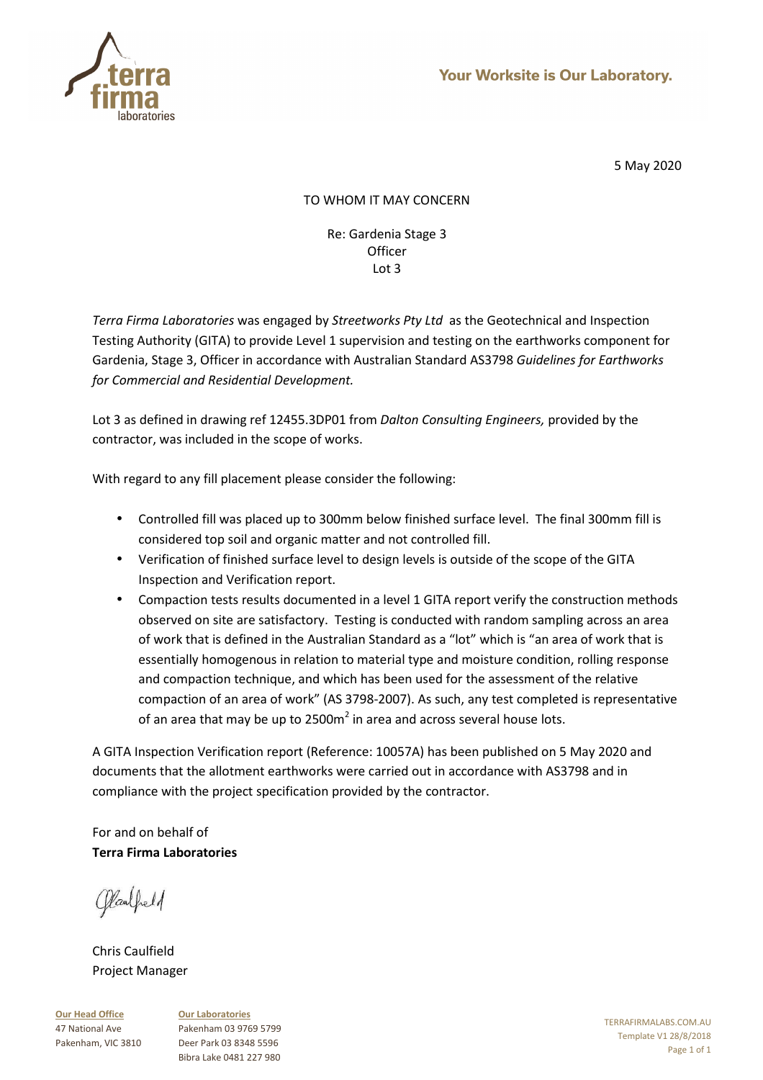

# TO WHOM IT MAY CONCERN

### Re: Gardenia Stage 3 **Officer** Lot 3

*Terra Firma Laboratories* was engaged by *Streetworks Pty Ltd* as the Geotechnical and Inspection Testing Authority (GITA) to provide Level 1 supervision and testing on the earthworks component for Gardenia, Stage 3, Officer in accordance with Australian Standard AS3798 *Guidelines for Earthworks for Commercial and Residential Development.* 

Lot 3 as defined in drawing ref 12455.3DP01 from *Dalton Consulting Engineers,* provided by the contractor, was included in the scope of works.

With regard to any fill placement please consider the following:

- Controlled fill was placed up to 300mm below finished surface level. The final 300mm fill is considered top soil and organic matter and not controlled fill.
- Verification of finished surface level to design levels is outside of the scope of the GITA Inspection and Verification report.
- Compaction tests results documented in a level 1 GITA report verify the construction methods observed on site are satisfactory. Testing is conducted with random sampling across an area of work that is defined in the Australian Standard as a "lot" which is "an area of work that is essentially homogenous in relation to material type and moisture condition, rolling response and compaction technique, and which has been used for the assessment of the relative compaction of an area of work" (AS 3798-2007). As such, any test completed is representative of an area that may be up to 2500m<sup>2</sup> in area and across several house lots.

A GITA Inspection Verification report (Reference: 10057A) has been published on 5 May 2020 and documents that the allotment earthworks were carried out in accordance with AS3798 and in compliance with the project specification provided by the contractor.

For and on behalf of **Terra Firma Laboratories** 

Claubeld

Chris Caulfield Project Manager

**Our Head Office** 47 National Ave Pakenham, VIC 3810 **Our Laboratories** Pakenham 03 9769 5799 Deer Park 03 8348 5596 Bibra Lake 0481 227 980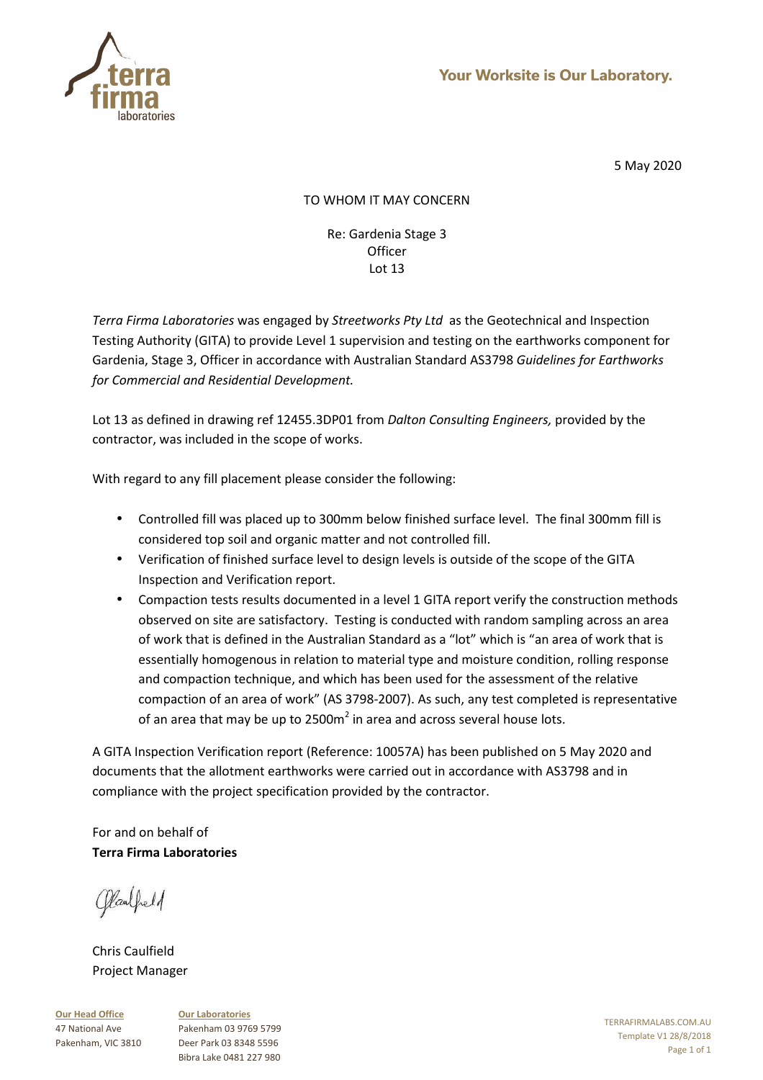

# TO WHOM IT MAY CONCERN

Re: Gardenia Stage 3 **Officer** Lot 13

*Terra Firma Laboratories* was engaged by *Streetworks Pty Ltd* as the Geotechnical and Inspection Testing Authority (GITA) to provide Level 1 supervision and testing on the earthworks component for Gardenia, Stage 3, Officer in accordance with Australian Standard AS3798 *Guidelines for Earthworks for Commercial and Residential Development.* 

Lot 13 as defined in drawing ref 12455.3DP01 from *Dalton Consulting Engineers,* provided by the contractor, was included in the scope of works.

With regard to any fill placement please consider the following:

- Controlled fill was placed up to 300mm below finished surface level. The final 300mm fill is considered top soil and organic matter and not controlled fill.
- Verification of finished surface level to design levels is outside of the scope of the GITA Inspection and Verification report.
- Compaction tests results documented in a level 1 GITA report verify the construction methods observed on site are satisfactory. Testing is conducted with random sampling across an area of work that is defined in the Australian Standard as a "lot" which is "an area of work that is essentially homogenous in relation to material type and moisture condition, rolling response and compaction technique, and which has been used for the assessment of the relative compaction of an area of work" (AS 3798-2007). As such, any test completed is representative of an area that may be up to 2500m<sup>2</sup> in area and across several house lots.

A GITA Inspection Verification report (Reference: 10057A) has been published on 5 May 2020 and documents that the allotment earthworks were carried out in accordance with AS3798 and in compliance with the project specification provided by the contractor.

For and on behalf of **Terra Firma Laboratories** 

Claubeld

Chris Caulfield Project Manager

**Our Head Office** 47 National Ave Pakenham, VIC 3810 **Our Laboratories** Pakenham 03 9769 5799 Deer Park 03 8348 5596 Bibra Lake 0481 227 980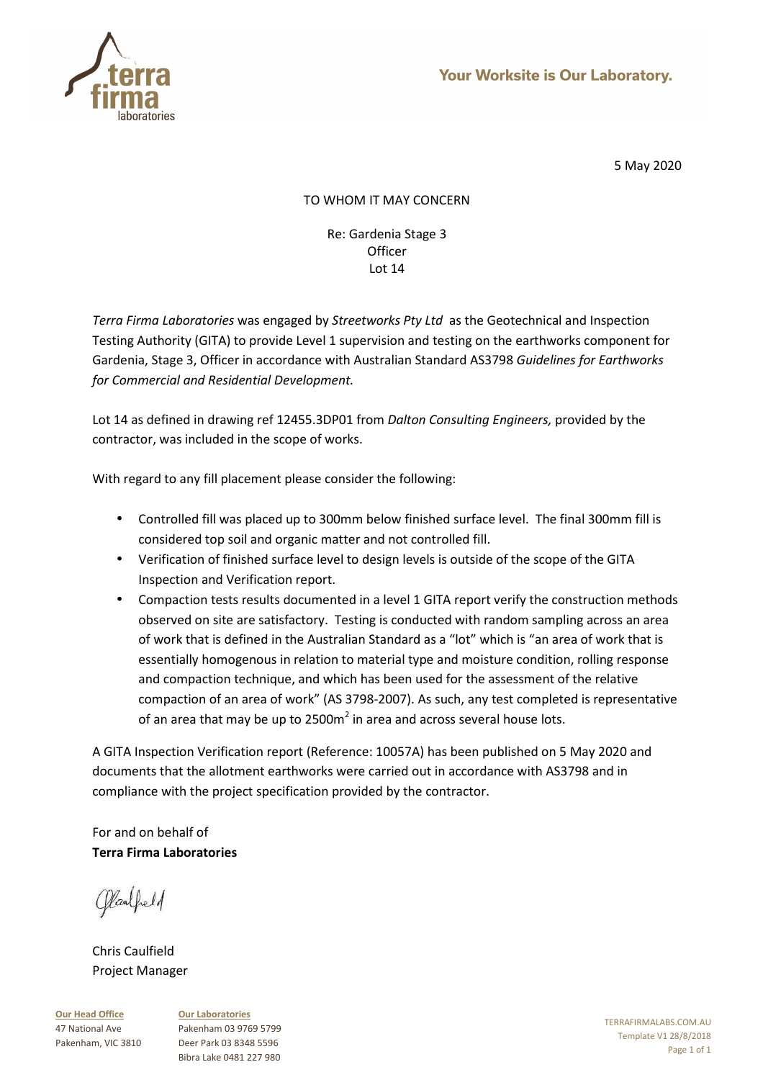

# TO WHOM IT MAY CONCERN

Re: Gardenia Stage 3 **Officer** Lot 14

*Terra Firma Laboratories* was engaged by *Streetworks Pty Ltd* as the Geotechnical and Inspection Testing Authority (GITA) to provide Level 1 supervision and testing on the earthworks component for Gardenia, Stage 3, Officer in accordance with Australian Standard AS3798 *Guidelines for Earthworks for Commercial and Residential Development.* 

Lot 14 as defined in drawing ref 12455.3DP01 from *Dalton Consulting Engineers,* provided by the contractor, was included in the scope of works.

With regard to any fill placement please consider the following:

- Controlled fill was placed up to 300mm below finished surface level. The final 300mm fill is considered top soil and organic matter and not controlled fill.
- Verification of finished surface level to design levels is outside of the scope of the GITA Inspection and Verification report.
- Compaction tests results documented in a level 1 GITA report verify the construction methods observed on site are satisfactory. Testing is conducted with random sampling across an area of work that is defined in the Australian Standard as a "lot" which is "an area of work that is essentially homogenous in relation to material type and moisture condition, rolling response and compaction technique, and which has been used for the assessment of the relative compaction of an area of work" (AS 3798-2007). As such, any test completed is representative of an area that may be up to 2500m<sup>2</sup> in area and across several house lots.

A GITA Inspection Verification report (Reference: 10057A) has been published on 5 May 2020 and documents that the allotment earthworks were carried out in accordance with AS3798 and in compliance with the project specification provided by the contractor.

For and on behalf of **Terra Firma Laboratories** 

Claubeld

Chris Caulfield Project Manager

**Our Head Office** 47 National Ave Pakenham, VIC 3810 **Our Laboratories** Pakenham 03 9769 5799 Deer Park 03 8348 5596 Bibra Lake 0481 227 980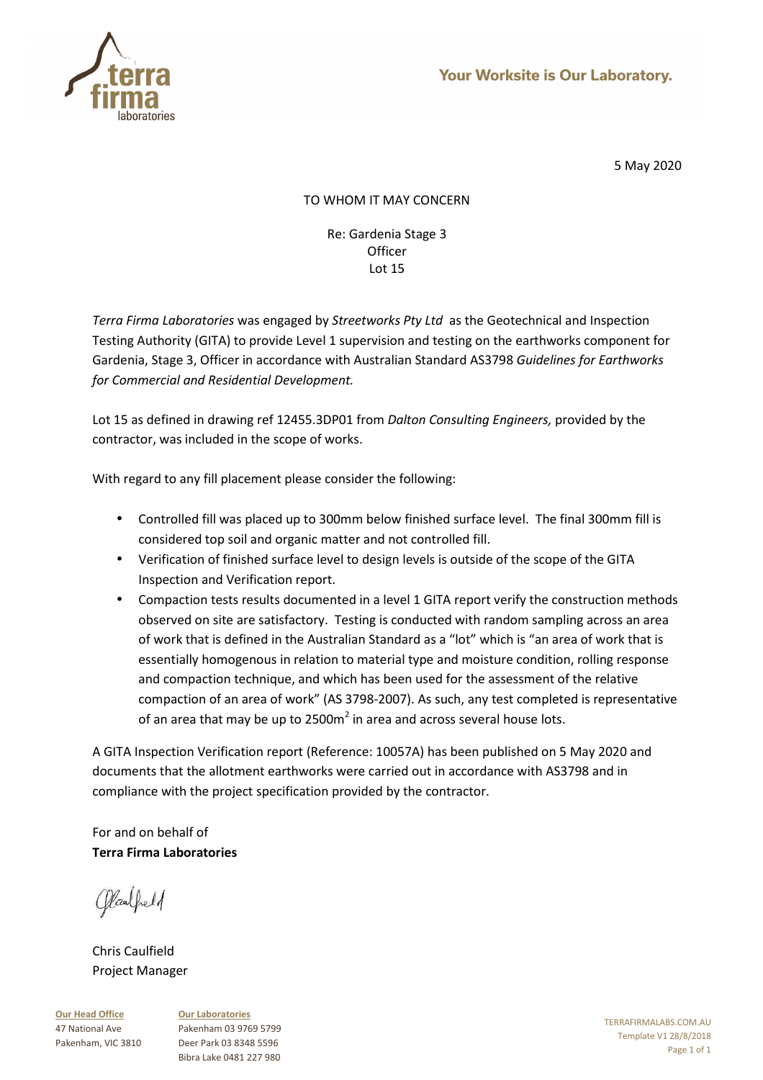

# TO WHOM IT MAY CONCERN

Re: Gardenia Stage 3 **Officer** Lot 15

*Terra Firma Laboratories* was engaged by *Streetworks Pty Ltd* as the Geotechnical and Inspection Testing Authority (GITA) to provide Level 1 supervision and testing on the earthworks component for Gardenia, Stage 3, Officer in accordance with Australian Standard AS3798 *Guidelines for Earthworks for Commercial and Residential Development.* 

Lot 15 as defined in drawing ref 12455.3DP01 from *Dalton Consulting Engineers,* provided by the contractor, was included in the scope of works.

With regard to any fill placement please consider the following:

- Controlled fill was placed up to 300mm below finished surface level. The final 300mm fill is considered top soil and organic matter and not controlled fill.
- Verification of finished surface level to design levels is outside of the scope of the GITA Inspection and Verification report.
- Compaction tests results documented in a level 1 GITA report verify the construction methods observed on site are satisfactory. Testing is conducted with random sampling across an area of work that is defined in the Australian Standard as a "lot" which is "an area of work that is essentially homogenous in relation to material type and moisture condition, rolling response and compaction technique, and which has been used for the assessment of the relative compaction of an area of work" (AS 3798-2007). As such, any test completed is representative of an area that may be up to 2500m<sup>2</sup> in area and across several house lots.

A GITA Inspection Verification report (Reference: 10057A) has been published on 5 May 2020 and documents that the allotment earthworks were carried out in accordance with AS3798 and in compliance with the project specification provided by the contractor.

For and on behalf of **Terra Firma Laboratories** 

Claubeld

Chris Caulfield Project Manager

**Our Head Office** 47 National Ave Pakenham, VIC 3810 **Our Laboratories** Pakenham 03 9769 5799 Deer Park 03 8348 5596 Bibra Lake 0481 227 980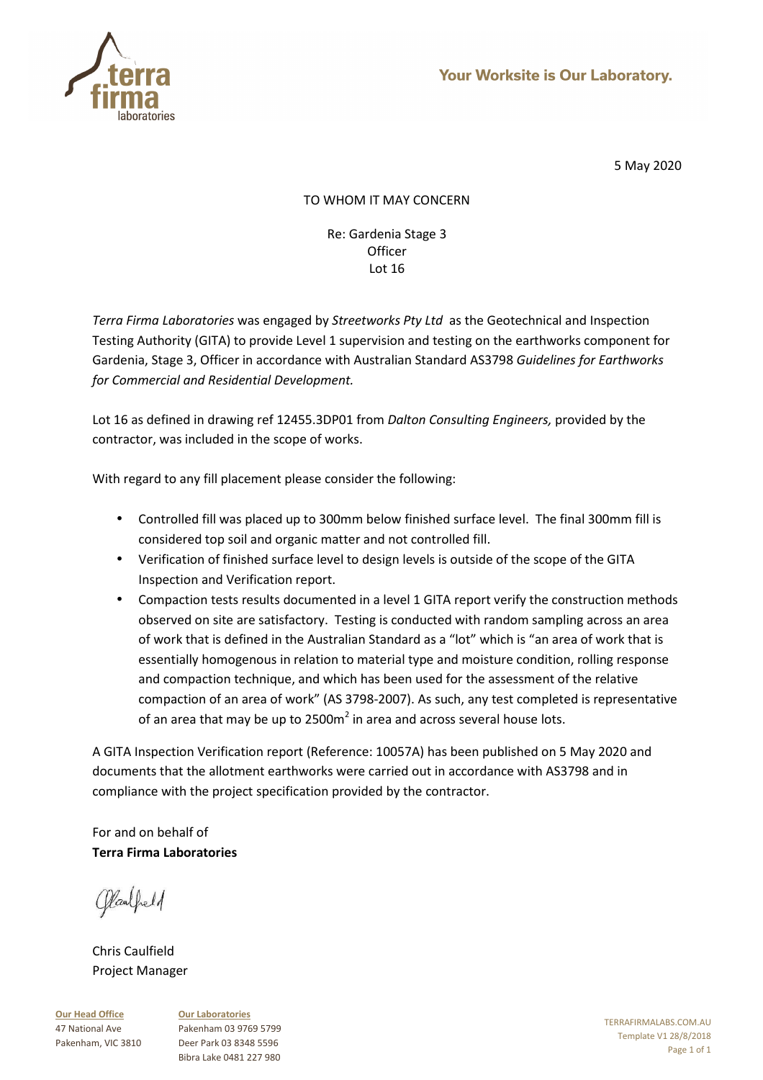

# TO WHOM IT MAY CONCERN

Re: Gardenia Stage 3 **Officer** Lot 16

*Terra Firma Laboratories* was engaged by *Streetworks Pty Ltd* as the Geotechnical and Inspection Testing Authority (GITA) to provide Level 1 supervision and testing on the earthworks component for Gardenia, Stage 3, Officer in accordance with Australian Standard AS3798 *Guidelines for Earthworks for Commercial and Residential Development.* 

Lot 16 as defined in drawing ref 12455.3DP01 from *Dalton Consulting Engineers,* provided by the contractor, was included in the scope of works.

With regard to any fill placement please consider the following:

- Controlled fill was placed up to 300mm below finished surface level. The final 300mm fill is considered top soil and organic matter and not controlled fill.
- Verification of finished surface level to design levels is outside of the scope of the GITA Inspection and Verification report.
- Compaction tests results documented in a level 1 GITA report verify the construction methods observed on site are satisfactory. Testing is conducted with random sampling across an area of work that is defined in the Australian Standard as a "lot" which is "an area of work that is essentially homogenous in relation to material type and moisture condition, rolling response and compaction technique, and which has been used for the assessment of the relative compaction of an area of work" (AS 3798-2007). As such, any test completed is representative of an area that may be up to 2500m<sup>2</sup> in area and across several house lots.

A GITA Inspection Verification report (Reference: 10057A) has been published on 5 May 2020 and documents that the allotment earthworks were carried out in accordance with AS3798 and in compliance with the project specification provided by the contractor.

For and on behalf of **Terra Firma Laboratories** 

Claubeld

Chris Caulfield Project Manager

**Our Head Office** 47 National Ave Pakenham, VIC 3810 **Our Laboratories** Pakenham 03 9769 5799 Deer Park 03 8348 5596 Bibra Lake 0481 227 980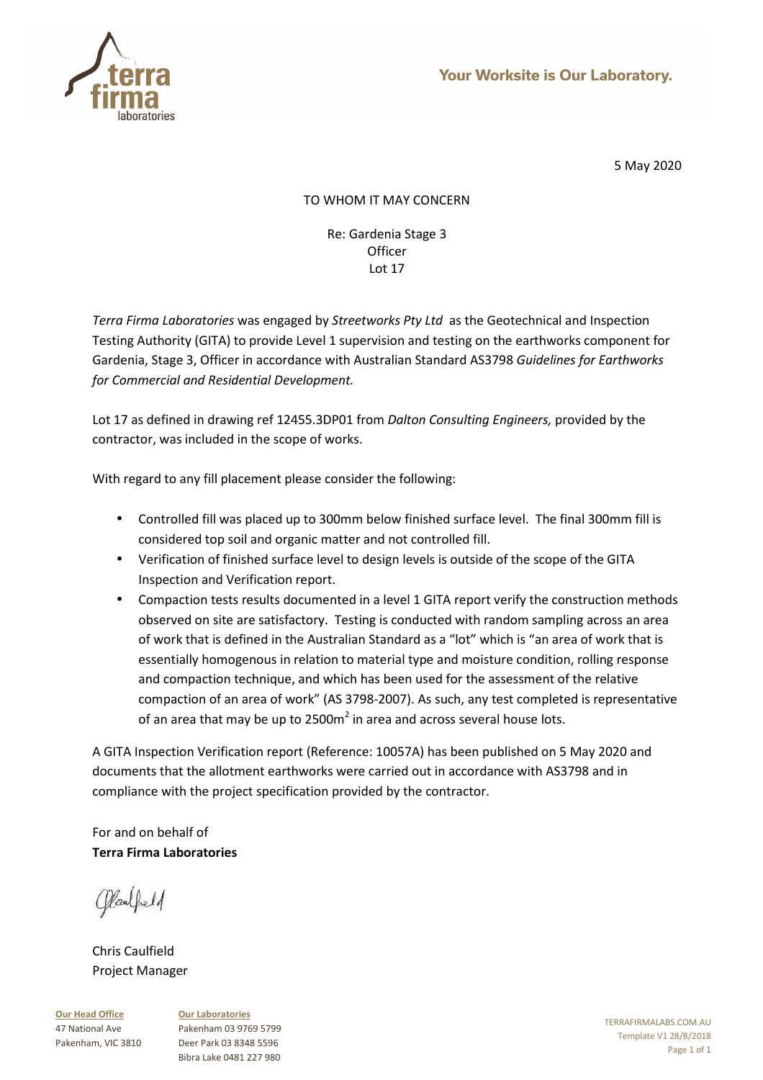

# TO WHOM IT MAY CONCERN

Re: Gardenia Stage 3 **Officer** Lot 17

*Terra Firma Laboratories* was engaged by *Streetworks Pty Ltd* as the Geotechnical and Inspection Testing Authority (GITA) to provide Level 1 supervision and testing on the earthworks component for Gardenia, Stage 3, Officer in accordance with Australian Standard AS3798 *Guidelines for Earthworks for Commercial and Residential Development.* 

Lot 17 as defined in drawing ref 12455.3DP01 from *Dalton Consulting Engineers,* provided by the contractor, was included in the scope of works.

With regard to any fill placement please consider the following:

- Controlled fill was placed up to 300mm below finished surface level. The final 300mm fill is considered top soil and organic matter and not controlled fill.
- Verification of finished surface level to design levels is outside of the scope of the GITA Inspection and Verification report.
- Compaction tests results documented in a level 1 GITA report verify the construction methods observed on site are satisfactory. Testing is conducted with random sampling across an area of work that is defined in the Australian Standard as a "lot" which is "an area of work that is essentially homogenous in relation to material type and moisture condition, rolling response and compaction technique, and which has been used for the assessment of the relative compaction of an area of work" (AS 3798-2007). As such, any test completed is representative of an area that may be up to 2500m<sup>2</sup> in area and across several house lots.

A GITA Inspection Verification report (Reference: 10057A) has been published on 5 May 2020 and documents that the allotment earthworks were carried out in accordance with AS3798 and in compliance with the project specification provided by the contractor.

For and on behalf of **Terra Firma Laboratories** 

Claubeld

Chris Caulfield Project Manager

**Our Head Office** 47 National Ave Pakenham, VIC 3810 **Our Laboratories** Pakenham 03 9769 5799 Deer Park 03 8348 5596 Bibra Lake 0481 227 980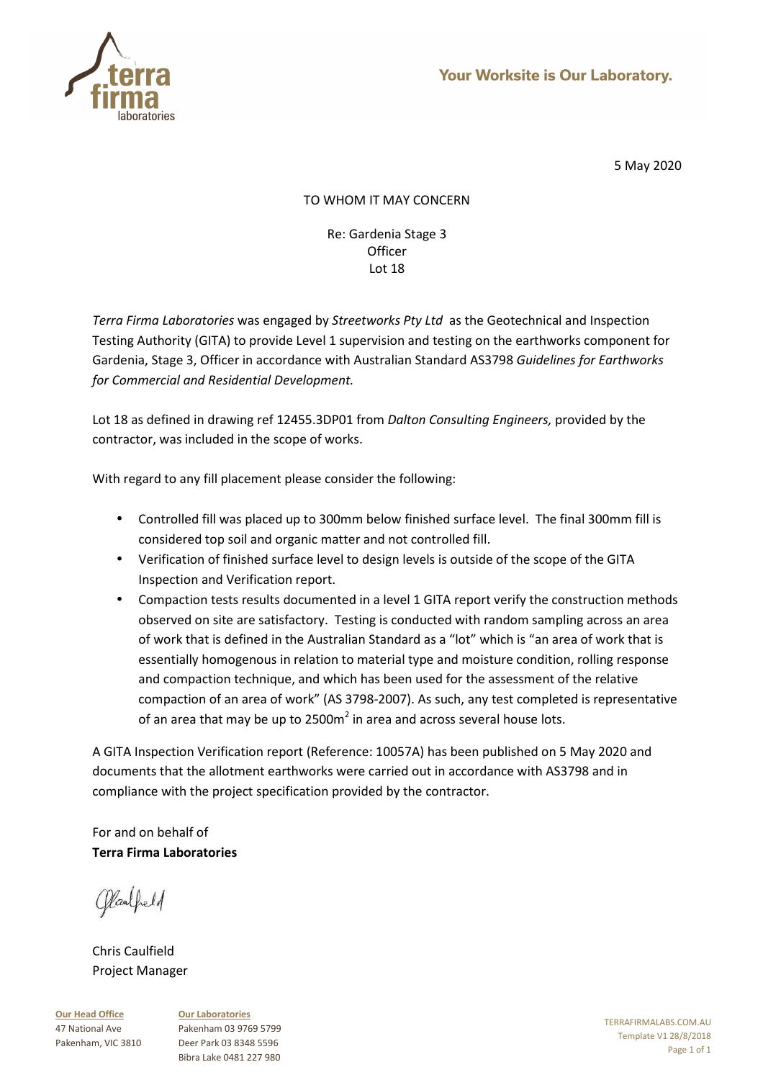

# TO WHOM IT MAY CONCERN

Re: Gardenia Stage 3 **Officer** Lot 18

*Terra Firma Laboratories* was engaged by *Streetworks Pty Ltd* as the Geotechnical and Inspection Testing Authority (GITA) to provide Level 1 supervision and testing on the earthworks component for Gardenia, Stage 3, Officer in accordance with Australian Standard AS3798 *Guidelines for Earthworks for Commercial and Residential Development.* 

Lot 18 as defined in drawing ref 12455.3DP01 from *Dalton Consulting Engineers,* provided by the contractor, was included in the scope of works.

With regard to any fill placement please consider the following:

- Controlled fill was placed up to 300mm below finished surface level. The final 300mm fill is considered top soil and organic matter and not controlled fill.
- Verification of finished surface level to design levels is outside of the scope of the GITA Inspection and Verification report.
- Compaction tests results documented in a level 1 GITA report verify the construction methods observed on site are satisfactory. Testing is conducted with random sampling across an area of work that is defined in the Australian Standard as a "lot" which is "an area of work that is essentially homogenous in relation to material type and moisture condition, rolling response and compaction technique, and which has been used for the assessment of the relative compaction of an area of work" (AS 3798-2007). As such, any test completed is representative of an area that may be up to 2500m<sup>2</sup> in area and across several house lots.

A GITA Inspection Verification report (Reference: 10057A) has been published on 5 May 2020 and documents that the allotment earthworks were carried out in accordance with AS3798 and in compliance with the project specification provided by the contractor.

For and on behalf of **Terra Firma Laboratories** 

Claubeld

Chris Caulfield Project Manager

**Our Head Office** 47 National Ave Pakenham, VIC 3810 **Our Laboratories** Pakenham 03 9769 5799 Deer Park 03 8348 5596 Bibra Lake 0481 227 980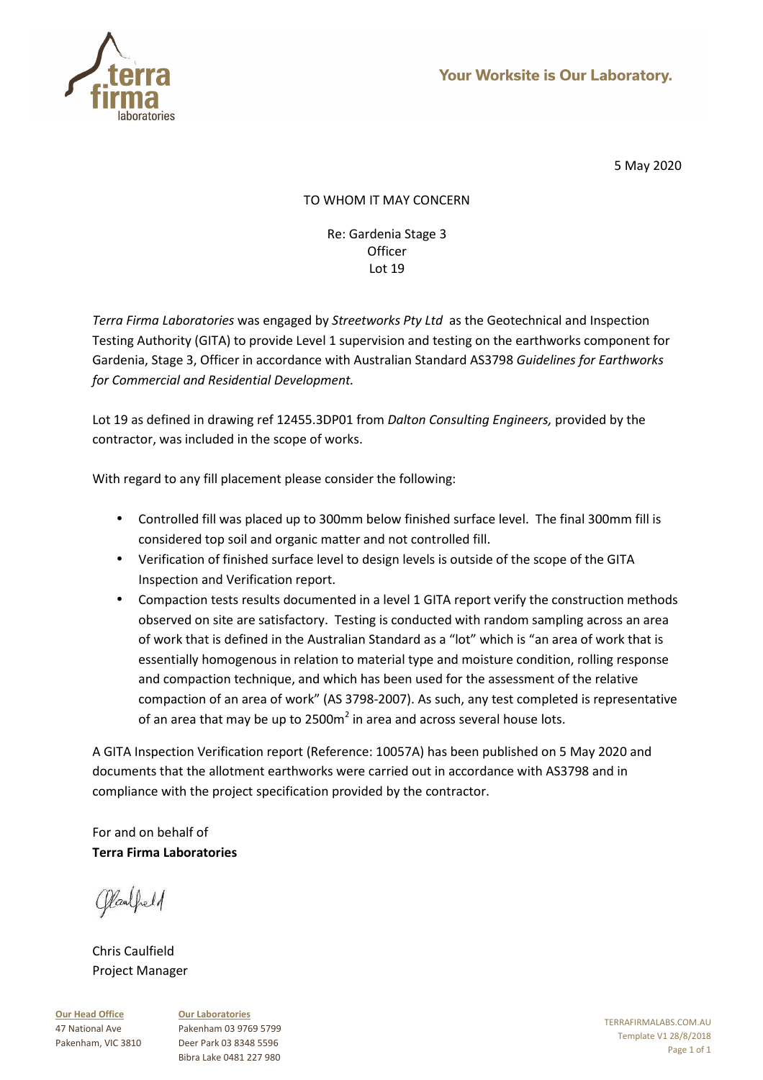

# TO WHOM IT MAY CONCERN

Re: Gardenia Stage 3 **Officer** Lot 19

*Terra Firma Laboratories* was engaged by *Streetworks Pty Ltd* as the Geotechnical and Inspection Testing Authority (GITA) to provide Level 1 supervision and testing on the earthworks component for Gardenia, Stage 3, Officer in accordance with Australian Standard AS3798 *Guidelines for Earthworks for Commercial and Residential Development.* 

Lot 19 as defined in drawing ref 12455.3DP01 from *Dalton Consulting Engineers,* provided by the contractor, was included in the scope of works.

With regard to any fill placement please consider the following:

- Controlled fill was placed up to 300mm below finished surface level. The final 300mm fill is considered top soil and organic matter and not controlled fill.
- Verification of finished surface level to design levels is outside of the scope of the GITA Inspection and Verification report.
- Compaction tests results documented in a level 1 GITA report verify the construction methods observed on site are satisfactory. Testing is conducted with random sampling across an area of work that is defined in the Australian Standard as a "lot" which is "an area of work that is essentially homogenous in relation to material type and moisture condition, rolling response and compaction technique, and which has been used for the assessment of the relative compaction of an area of work" (AS 3798-2007). As such, any test completed is representative of an area that may be up to 2500m<sup>2</sup> in area and across several house lots.

A GITA Inspection Verification report (Reference: 10057A) has been published on 5 May 2020 and documents that the allotment earthworks were carried out in accordance with AS3798 and in compliance with the project specification provided by the contractor.

For and on behalf of **Terra Firma Laboratories** 

Claubeld

Chris Caulfield Project Manager

**Our Head Office** 47 National Ave Pakenham, VIC 3810 **Our Laboratories** Pakenham 03 9769 5799 Deer Park 03 8348 5596 Bibra Lake 0481 227 980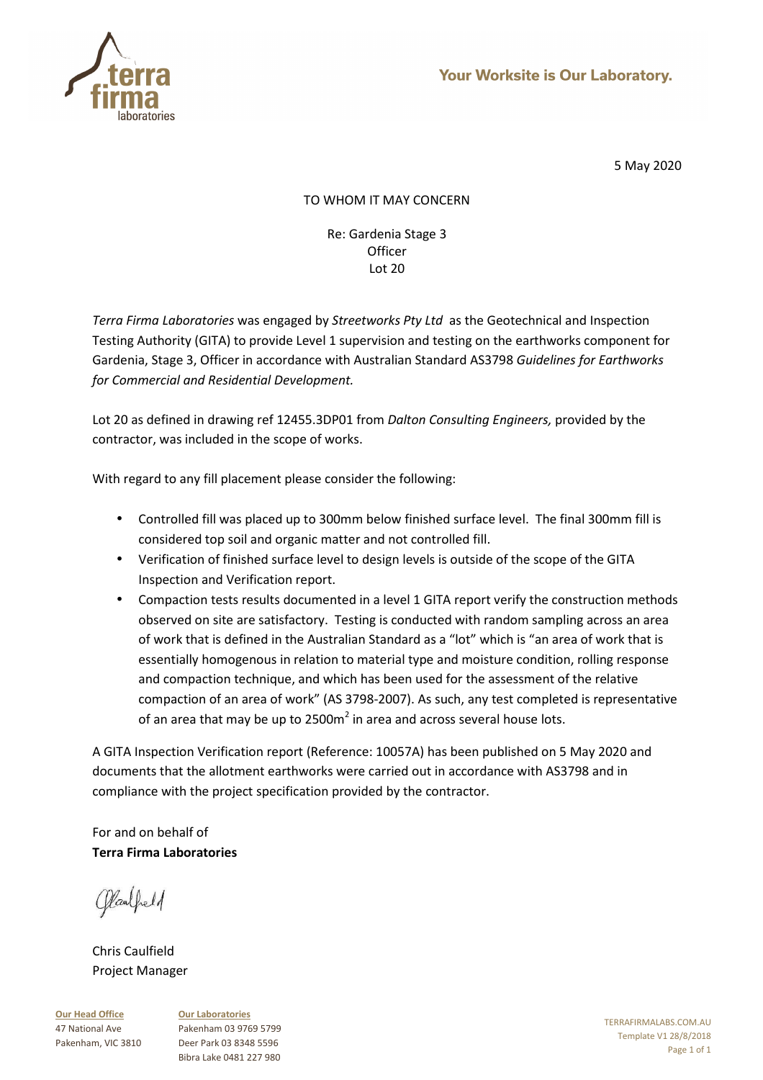

# TO WHOM IT MAY CONCERN

Re: Gardenia Stage 3 **Officer** Lot 20

*Terra Firma Laboratories* was engaged by *Streetworks Pty Ltd* as the Geotechnical and Inspection Testing Authority (GITA) to provide Level 1 supervision and testing on the earthworks component for Gardenia, Stage 3, Officer in accordance with Australian Standard AS3798 *Guidelines for Earthworks for Commercial and Residential Development.* 

Lot 20 as defined in drawing ref 12455.3DP01 from *Dalton Consulting Engineers,* provided by the contractor, was included in the scope of works.

With regard to any fill placement please consider the following:

- Controlled fill was placed up to 300mm below finished surface level. The final 300mm fill is considered top soil and organic matter and not controlled fill.
- Verification of finished surface level to design levels is outside of the scope of the GITA Inspection and Verification report.
- Compaction tests results documented in a level 1 GITA report verify the construction methods observed on site are satisfactory. Testing is conducted with random sampling across an area of work that is defined in the Australian Standard as a "lot" which is "an area of work that is essentially homogenous in relation to material type and moisture condition, rolling response and compaction technique, and which has been used for the assessment of the relative compaction of an area of work" (AS 3798-2007). As such, any test completed is representative of an area that may be up to 2500m<sup>2</sup> in area and across several house lots.

A GITA Inspection Verification report (Reference: 10057A) has been published on 5 May 2020 and documents that the allotment earthworks were carried out in accordance with AS3798 and in compliance with the project specification provided by the contractor.

For and on behalf of **Terra Firma Laboratories** 

Claubeld

Chris Caulfield Project Manager

**Our Head Office** 47 National Ave Pakenham, VIC 3810 **Our Laboratories** Pakenham 03 9769 5799 Deer Park 03 8348 5596 Bibra Lake 0481 227 980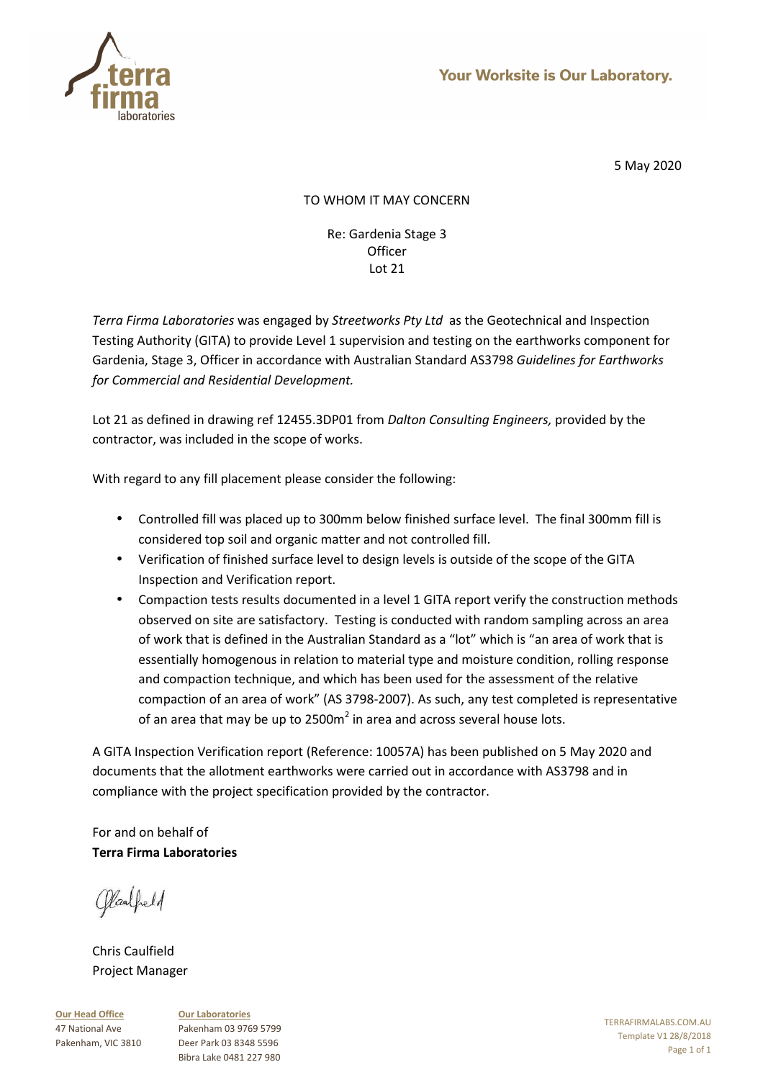

# TO WHOM IT MAY CONCERN

Re: Gardenia Stage 3 **Officer** Lot 21

*Terra Firma Laboratories* was engaged by *Streetworks Pty Ltd* as the Geotechnical and Inspection Testing Authority (GITA) to provide Level 1 supervision and testing on the earthworks component for Gardenia, Stage 3, Officer in accordance with Australian Standard AS3798 *Guidelines for Earthworks for Commercial and Residential Development.* 

Lot 21 as defined in drawing ref 12455.3DP01 from *Dalton Consulting Engineers,* provided by the contractor, was included in the scope of works.

With regard to any fill placement please consider the following:

- Controlled fill was placed up to 300mm below finished surface level. The final 300mm fill is considered top soil and organic matter and not controlled fill.
- Verification of finished surface level to design levels is outside of the scope of the GITA Inspection and Verification report.
- Compaction tests results documented in a level 1 GITA report verify the construction methods observed on site are satisfactory. Testing is conducted with random sampling across an area of work that is defined in the Australian Standard as a "lot" which is "an area of work that is essentially homogenous in relation to material type and moisture condition, rolling response and compaction technique, and which has been used for the assessment of the relative compaction of an area of work" (AS 3798-2007). As such, any test completed is representative of an area that may be up to 2500m<sup>2</sup> in area and across several house lots.

A GITA Inspection Verification report (Reference: 10057A) has been published on 5 May 2020 and documents that the allotment earthworks were carried out in accordance with AS3798 and in compliance with the project specification provided by the contractor.

For and on behalf of **Terra Firma Laboratories** 

Claubeld

Chris Caulfield Project Manager

**Our Head Office** 47 National Ave Pakenham, VIC 3810 **Our Laboratories** Pakenham 03 9769 5799 Deer Park 03 8348 5596 Bibra Lake 0481 227 980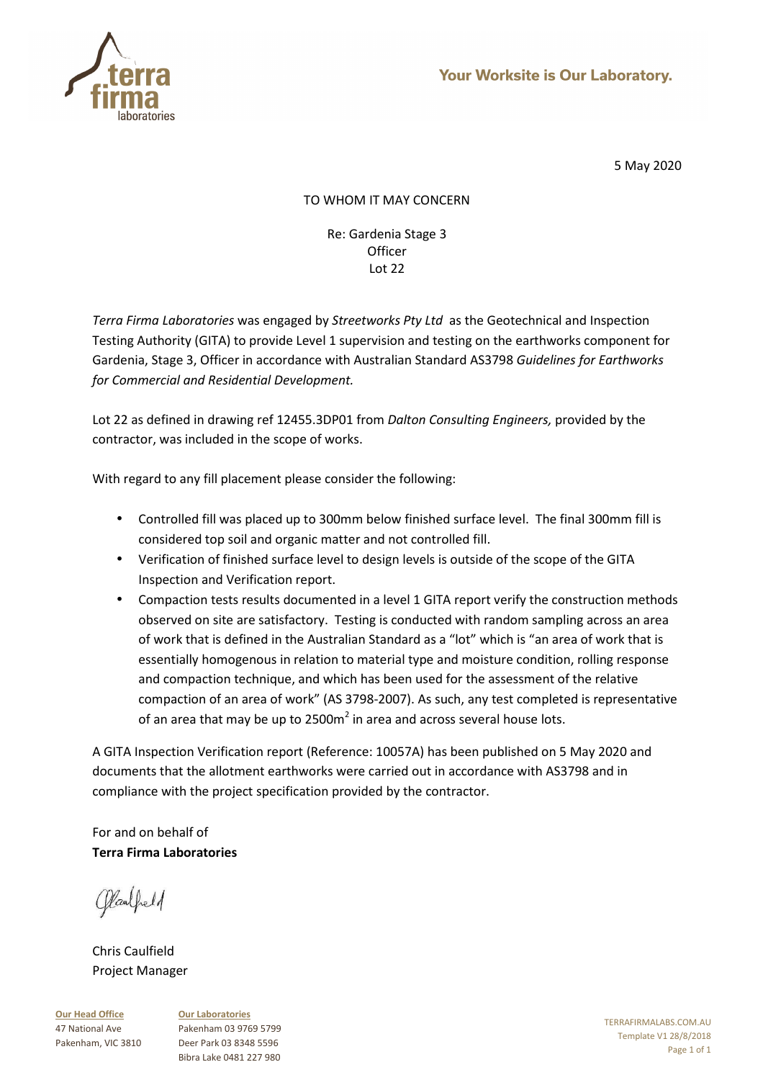

# TO WHOM IT MAY CONCERN

Re: Gardenia Stage 3 **Officer** Lot 22

*Terra Firma Laboratories* was engaged by *Streetworks Pty Ltd* as the Geotechnical and Inspection Testing Authority (GITA) to provide Level 1 supervision and testing on the earthworks component for Gardenia, Stage 3, Officer in accordance with Australian Standard AS3798 *Guidelines for Earthworks for Commercial and Residential Development.* 

Lot 22 as defined in drawing ref 12455.3DP01 from *Dalton Consulting Engineers,* provided by the contractor, was included in the scope of works.

With regard to any fill placement please consider the following:

- Controlled fill was placed up to 300mm below finished surface level. The final 300mm fill is considered top soil and organic matter and not controlled fill.
- Verification of finished surface level to design levels is outside of the scope of the GITA Inspection and Verification report.
- Compaction tests results documented in a level 1 GITA report verify the construction methods observed on site are satisfactory. Testing is conducted with random sampling across an area of work that is defined in the Australian Standard as a "lot" which is "an area of work that is essentially homogenous in relation to material type and moisture condition, rolling response and compaction technique, and which has been used for the assessment of the relative compaction of an area of work" (AS 3798-2007). As such, any test completed is representative of an area that may be up to 2500m<sup>2</sup> in area and across several house lots.

A GITA Inspection Verification report (Reference: 10057A) has been published on 5 May 2020 and documents that the allotment earthworks were carried out in accordance with AS3798 and in compliance with the project specification provided by the contractor.

For and on behalf of **Terra Firma Laboratories** 

Claubeld

Chris Caulfield Project Manager

**Our Head Office** 47 National Ave Pakenham, VIC 3810 **Our Laboratories** Pakenham 03 9769 5799 Deer Park 03 8348 5596 Bibra Lake 0481 227 980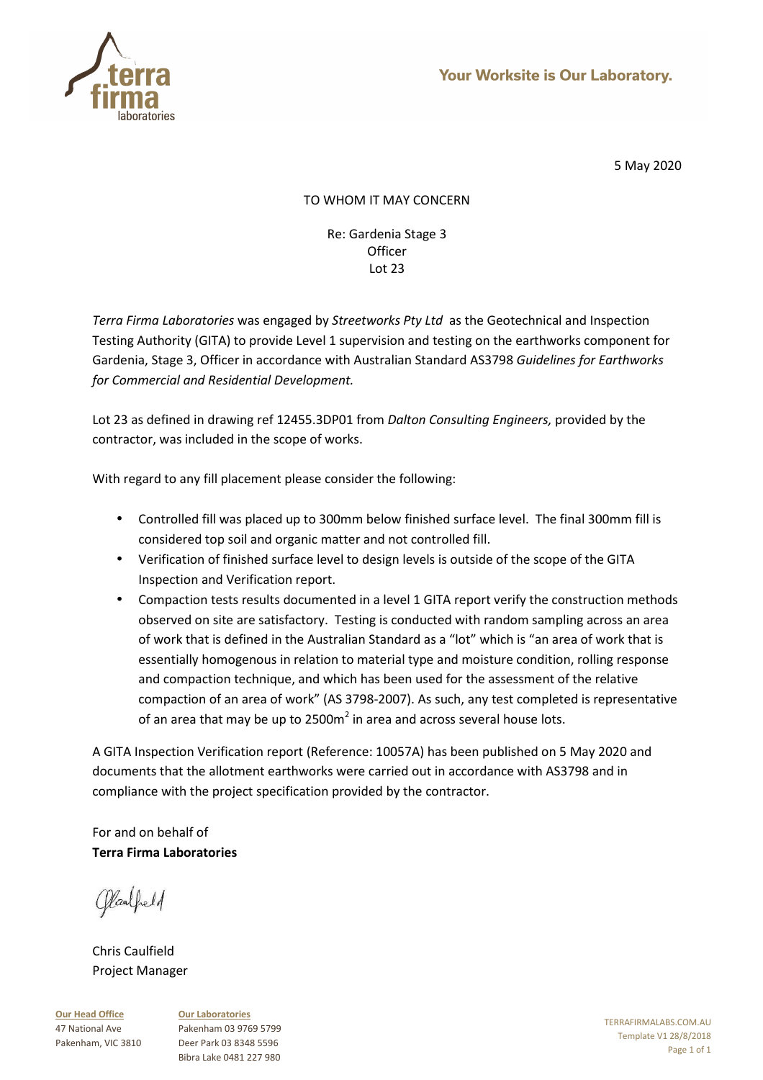

# TO WHOM IT MAY CONCERN

Re: Gardenia Stage 3 **Officer** Lot 23

*Terra Firma Laboratories* was engaged by *Streetworks Pty Ltd* as the Geotechnical and Inspection Testing Authority (GITA) to provide Level 1 supervision and testing on the earthworks component for Gardenia, Stage 3, Officer in accordance with Australian Standard AS3798 *Guidelines for Earthworks for Commercial and Residential Development.* 

Lot 23 as defined in drawing ref 12455.3DP01 from *Dalton Consulting Engineers,* provided by the contractor, was included in the scope of works.

With regard to any fill placement please consider the following:

- Controlled fill was placed up to 300mm below finished surface level. The final 300mm fill is considered top soil and organic matter and not controlled fill.
- Verification of finished surface level to design levels is outside of the scope of the GITA Inspection and Verification report.
- Compaction tests results documented in a level 1 GITA report verify the construction methods observed on site are satisfactory. Testing is conducted with random sampling across an area of work that is defined in the Australian Standard as a "lot" which is "an area of work that is essentially homogenous in relation to material type and moisture condition, rolling response and compaction technique, and which has been used for the assessment of the relative compaction of an area of work" (AS 3798-2007). As such, any test completed is representative of an area that may be up to 2500m<sup>2</sup> in area and across several house lots.

A GITA Inspection Verification report (Reference: 10057A) has been published on 5 May 2020 and documents that the allotment earthworks were carried out in accordance with AS3798 and in compliance with the project specification provided by the contractor.

For and on behalf of **Terra Firma Laboratories** 

Claubeld

Chris Caulfield Project Manager

**Our Head Office** 47 National Ave Pakenham, VIC 3810 **Our Laboratories** Pakenham 03 9769 5799 Deer Park 03 8348 5596 Bibra Lake 0481 227 980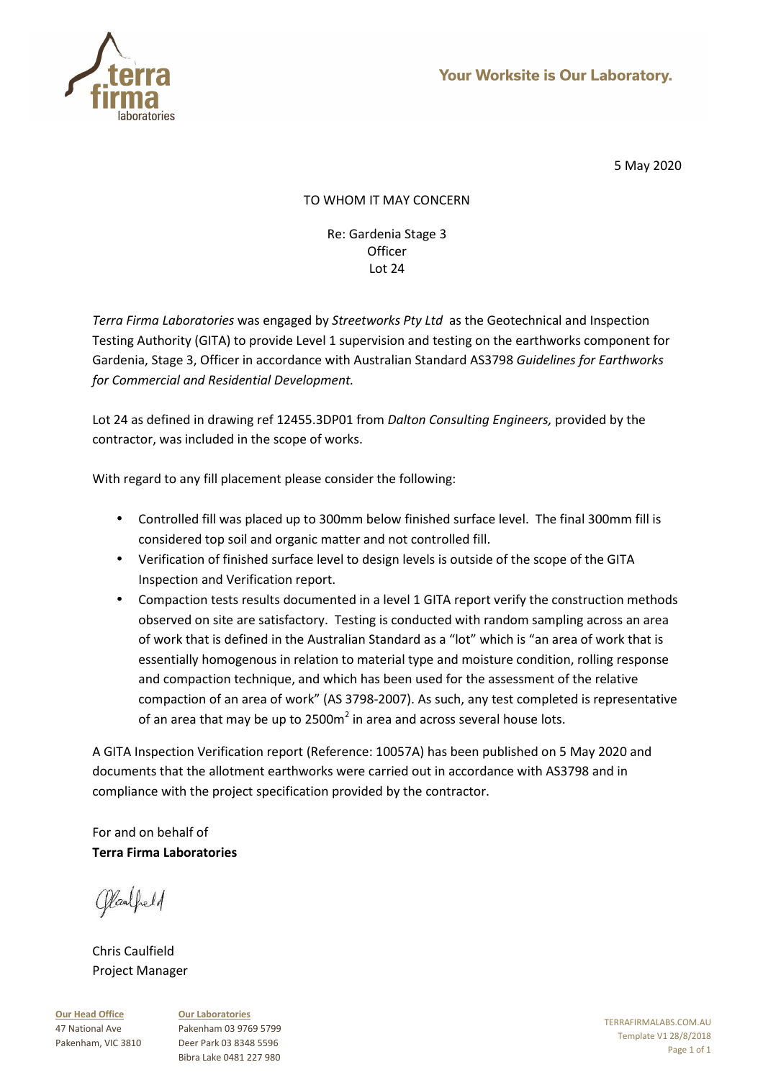

# TO WHOM IT MAY CONCERN

Re: Gardenia Stage 3 **Officer** Lot 24

*Terra Firma Laboratories* was engaged by *Streetworks Pty Ltd* as the Geotechnical and Inspection Testing Authority (GITA) to provide Level 1 supervision and testing on the earthworks component for Gardenia, Stage 3, Officer in accordance with Australian Standard AS3798 *Guidelines for Earthworks for Commercial and Residential Development.* 

Lot 24 as defined in drawing ref 12455.3DP01 from *Dalton Consulting Engineers,* provided by the contractor, was included in the scope of works.

With regard to any fill placement please consider the following:

- Controlled fill was placed up to 300mm below finished surface level. The final 300mm fill is considered top soil and organic matter and not controlled fill.
- Verification of finished surface level to design levels is outside of the scope of the GITA Inspection and Verification report.
- Compaction tests results documented in a level 1 GITA report verify the construction methods observed on site are satisfactory. Testing is conducted with random sampling across an area of work that is defined in the Australian Standard as a "lot" which is "an area of work that is essentially homogenous in relation to material type and moisture condition, rolling response and compaction technique, and which has been used for the assessment of the relative compaction of an area of work" (AS 3798-2007). As such, any test completed is representative of an area that may be up to 2500m<sup>2</sup> in area and across several house lots.

A GITA Inspection Verification report (Reference: 10057A) has been published on 5 May 2020 and documents that the allotment earthworks were carried out in accordance with AS3798 and in compliance with the project specification provided by the contractor.

For and on behalf of **Terra Firma Laboratories** 

Claubeld

Chris Caulfield Project Manager

**Our Head Office** 47 National Ave Pakenham, VIC 3810 **Our Laboratories** Pakenham 03 9769 5799 Deer Park 03 8348 5596 Bibra Lake 0481 227 980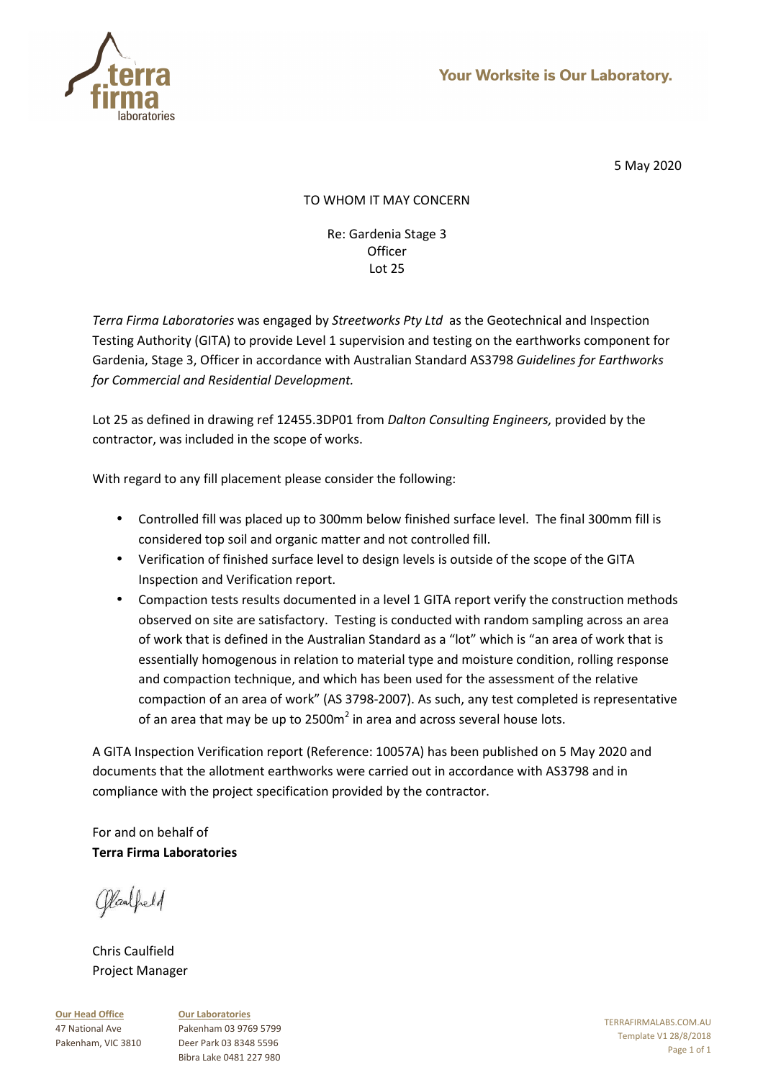

# TO WHOM IT MAY CONCERN

Re: Gardenia Stage 3 **Officer** Lot 25

*Terra Firma Laboratories* was engaged by *Streetworks Pty Ltd* as the Geotechnical and Inspection Testing Authority (GITA) to provide Level 1 supervision and testing on the earthworks component for Gardenia, Stage 3, Officer in accordance with Australian Standard AS3798 *Guidelines for Earthworks for Commercial and Residential Development.* 

Lot 25 as defined in drawing ref 12455.3DP01 from *Dalton Consulting Engineers,* provided by the contractor, was included in the scope of works.

With regard to any fill placement please consider the following:

- Controlled fill was placed up to 300mm below finished surface level. The final 300mm fill is considered top soil and organic matter and not controlled fill.
- Verification of finished surface level to design levels is outside of the scope of the GITA Inspection and Verification report.
- Compaction tests results documented in a level 1 GITA report verify the construction methods observed on site are satisfactory. Testing is conducted with random sampling across an area of work that is defined in the Australian Standard as a "lot" which is "an area of work that is essentially homogenous in relation to material type and moisture condition, rolling response and compaction technique, and which has been used for the assessment of the relative compaction of an area of work" (AS 3798-2007). As such, any test completed is representative of an area that may be up to 2500m<sup>2</sup> in area and across several house lots.

A GITA Inspection Verification report (Reference: 10057A) has been published on 5 May 2020 and documents that the allotment earthworks were carried out in accordance with AS3798 and in compliance with the project specification provided by the contractor.

For and on behalf of **Terra Firma Laboratories** 

Claubeld

Chris Caulfield Project Manager

**Our Head Office** 47 National Ave Pakenham, VIC 3810 **Our Laboratories** Pakenham 03 9769 5799 Deer Park 03 8348 5596 Bibra Lake 0481 227 980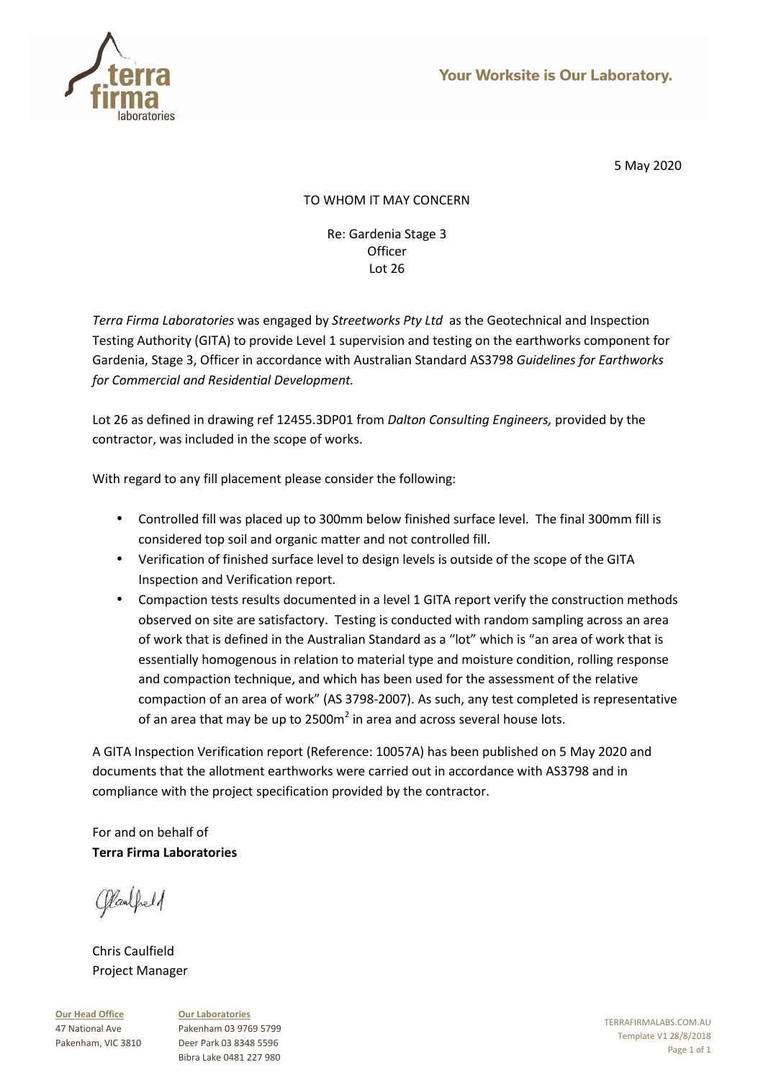

# TO WHOM IT MAY CONCERN

Re: Gardenia Stage 3 **Officer** Lot 26

*Terra Firma Laboratories* was engaged by *Streetworks Pty Ltd* as the Geotechnical and Inspection Testing Authority (GITA) to provide Level 1 supervision and testing on the earthworks component for Gardenia, Stage 3, Officer in accordance with Australian Standard AS3798 *Guidelines for Earthworks for Commercial and Residential Development.* 

Lot 26 as defined in drawing ref 12455.3DP01 from *Dalton Consulting Engineers,* provided by the contractor, was included in the scope of works.

With regard to any fill placement please consider the following:

- Controlled fill was placed up to 300mm below finished surface level. The final 300mm fill is considered top soil and organic matter and not controlled fill.
- Verification of finished surface level to design levels is outside of the scope of the GITA Inspection and Verification report.
- Compaction tests results documented in a level 1 GITA report verify the construction methods observed on site are satisfactory. Testing is conducted with random sampling across an area of work that is defined in the Australian Standard as a "lot" which is "an area of work that is essentially homogenous in relation to material type and moisture condition, rolling response and compaction technique, and which has been used for the assessment of the relative compaction of an area of work" (AS 3798-2007). As such, any test completed is representative of an area that may be up to 2500m<sup>2</sup> in area and across several house lots.

A GITA Inspection Verification report (Reference: 10057A) has been published on 5 May 2020 and documents that the allotment earthworks were carried out in accordance with AS3798 and in compliance with the project specification provided by the contractor.

For and on behalf of **Terra Firma Laboratories** 

Claubeld

Chris Caulfield Project Manager

**Our Head Office** 47 National Ave Pakenham, VIC 3810 **Our Laboratories** Pakenham 03 9769 5799 Deer Park 03 8348 5596 Bibra Lake 0481 227 980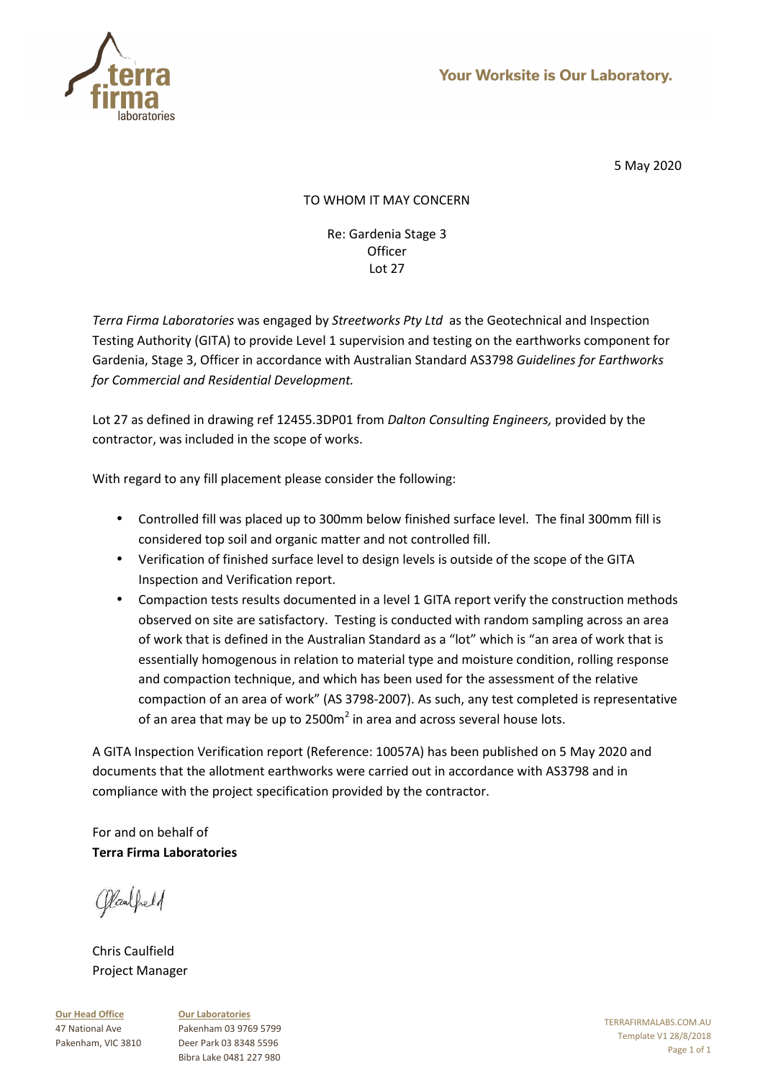

# TO WHOM IT MAY CONCERN

Re: Gardenia Stage 3 **Officer** Lot 27

*Terra Firma Laboratories* was engaged by *Streetworks Pty Ltd* as the Geotechnical and Inspection Testing Authority (GITA) to provide Level 1 supervision and testing on the earthworks component for Gardenia, Stage 3, Officer in accordance with Australian Standard AS3798 *Guidelines for Earthworks for Commercial and Residential Development.* 

Lot 27 as defined in drawing ref 12455.3DP01 from *Dalton Consulting Engineers,* provided by the contractor, was included in the scope of works.

With regard to any fill placement please consider the following:

- Controlled fill was placed up to 300mm below finished surface level. The final 300mm fill is considered top soil and organic matter and not controlled fill.
- Verification of finished surface level to design levels is outside of the scope of the GITA Inspection and Verification report.
- Compaction tests results documented in a level 1 GITA report verify the construction methods observed on site are satisfactory. Testing is conducted with random sampling across an area of work that is defined in the Australian Standard as a "lot" which is "an area of work that is essentially homogenous in relation to material type and moisture condition, rolling response and compaction technique, and which has been used for the assessment of the relative compaction of an area of work" (AS 3798-2007). As such, any test completed is representative of an area that may be up to 2500m<sup>2</sup> in area and across several house lots.

A GITA Inspection Verification report (Reference: 10057A) has been published on 5 May 2020 and documents that the allotment earthworks were carried out in accordance with AS3798 and in compliance with the project specification provided by the contractor.

For and on behalf of **Terra Firma Laboratories** 

Claubeld

Chris Caulfield Project Manager

**Our Head Office** 47 National Ave Pakenham, VIC 3810 **Our Laboratories** Pakenham 03 9769 5799 Deer Park 03 8348 5596 Bibra Lake 0481 227 980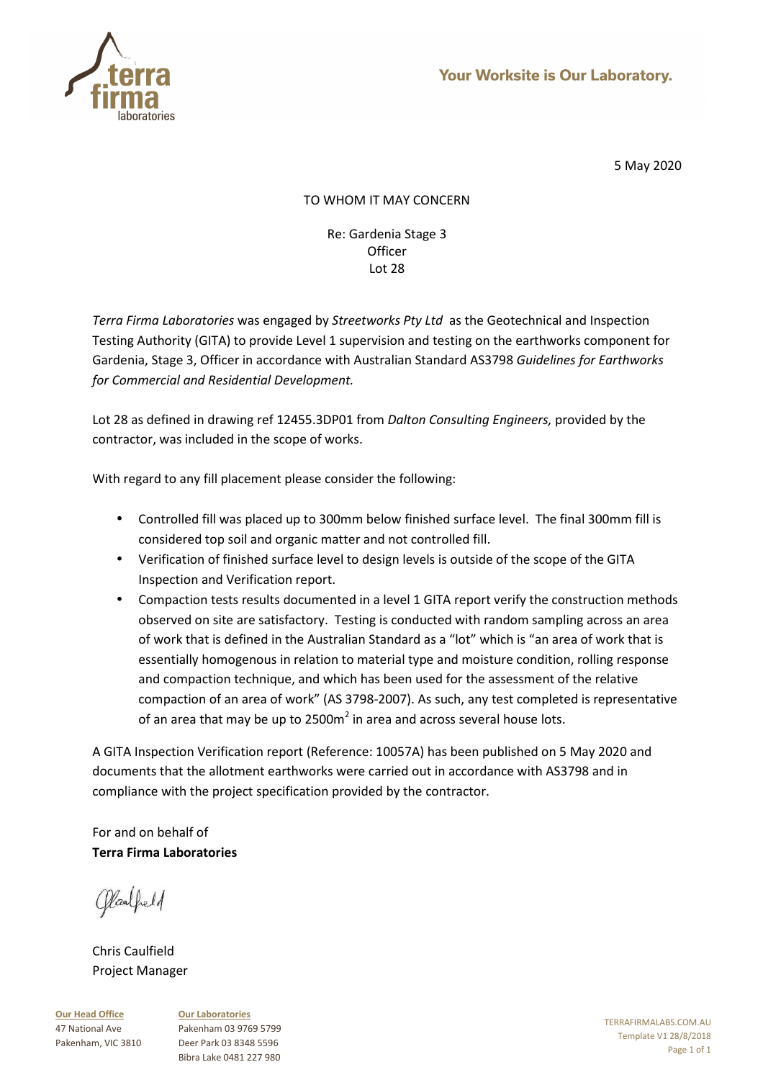

# TO WHOM IT MAY CONCERN

Re: Gardenia Stage 3 **Officer** Lot 28

*Terra Firma Laboratories* was engaged by *Streetworks Pty Ltd* as the Geotechnical and Inspection Testing Authority (GITA) to provide Level 1 supervision and testing on the earthworks component for Gardenia, Stage 3, Officer in accordance with Australian Standard AS3798 *Guidelines for Earthworks for Commercial and Residential Development.* 

Lot 28 as defined in drawing ref 12455.3DP01 from *Dalton Consulting Engineers,* provided by the contractor, was included in the scope of works.

With regard to any fill placement please consider the following:

- Controlled fill was placed up to 300mm below finished surface level. The final 300mm fill is considered top soil and organic matter and not controlled fill.
- Verification of finished surface level to design levels is outside of the scope of the GITA Inspection and Verification report.
- Compaction tests results documented in a level 1 GITA report verify the construction methods observed on site are satisfactory. Testing is conducted with random sampling across an area of work that is defined in the Australian Standard as a "lot" which is "an area of work that is essentially homogenous in relation to material type and moisture condition, rolling response and compaction technique, and which has been used for the assessment of the relative compaction of an area of work" (AS 3798-2007). As such, any test completed is representative of an area that may be up to 2500m<sup>2</sup> in area and across several house lots.

A GITA Inspection Verification report (Reference: 10057A) has been published on 5 May 2020 and documents that the allotment earthworks were carried out in accordance with AS3798 and in compliance with the project specification provided by the contractor.

For and on behalf of **Terra Firma Laboratories** 

Claubeld

Chris Caulfield Project Manager

**Our Head Office** 47 National Ave Pakenham, VIC 3810 **Our Laboratories** Pakenham 03 9769 5799 Deer Park 03 8348 5596 Bibra Lake 0481 227 980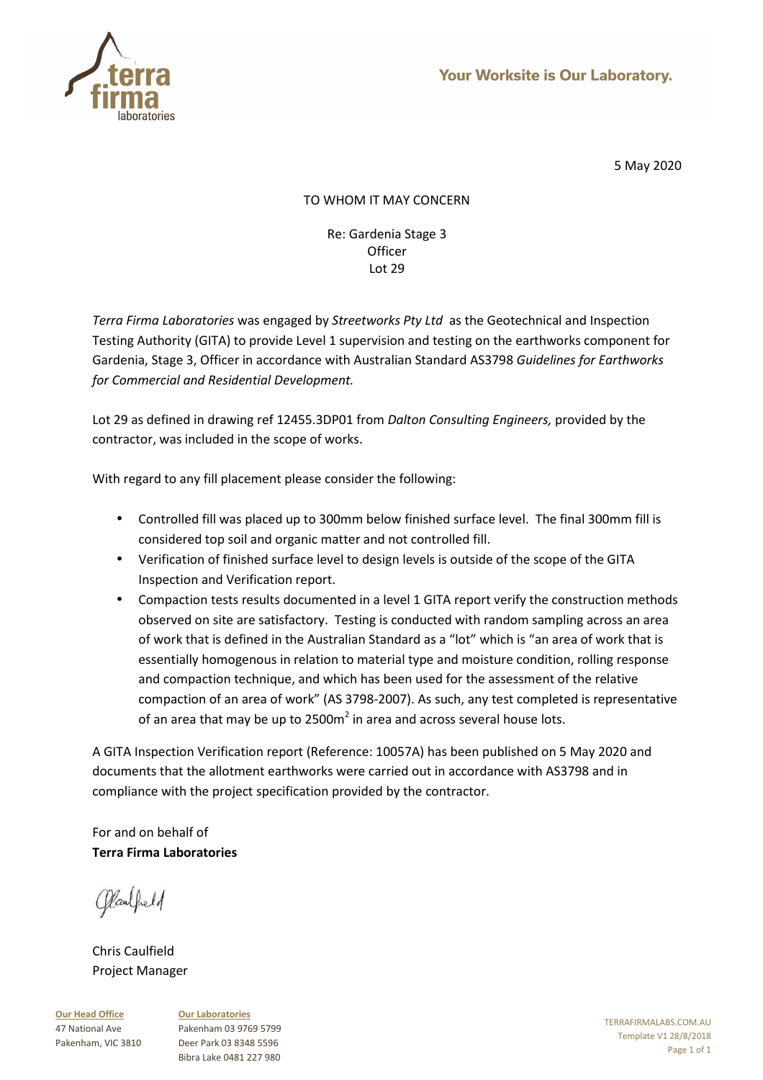

# TO WHOM IT MAY CONCERN

Re: Gardenia Stage 3 **Officer** Lot 29

*Terra Firma Laboratories* was engaged by *Streetworks Pty Ltd* as the Geotechnical and Inspection Testing Authority (GITA) to provide Level 1 supervision and testing on the earthworks component for Gardenia, Stage 3, Officer in accordance with Australian Standard AS3798 *Guidelines for Earthworks for Commercial and Residential Development.* 

Lot 29 as defined in drawing ref 12455.3DP01 from *Dalton Consulting Engineers,* provided by the contractor, was included in the scope of works.

With regard to any fill placement please consider the following:

- Controlled fill was placed up to 300mm below finished surface level. The final 300mm fill is considered top soil and organic matter and not controlled fill.
- Verification of finished surface level to design levels is outside of the scope of the GITA Inspection and Verification report.
- Compaction tests results documented in a level 1 GITA report verify the construction methods observed on site are satisfactory. Testing is conducted with random sampling across an area of work that is defined in the Australian Standard as a "lot" which is "an area of work that is essentially homogenous in relation to material type and moisture condition, rolling response and compaction technique, and which has been used for the assessment of the relative compaction of an area of work" (AS 3798-2007). As such, any test completed is representative of an area that may be up to 2500m<sup>2</sup> in area and across several house lots.

A GITA Inspection Verification report (Reference: 10057A) has been published on 5 May 2020 and documents that the allotment earthworks were carried out in accordance with AS3798 and in compliance with the project specification provided by the contractor.

For and on behalf of **Terra Firma Laboratories** 

Claubeld

Chris Caulfield Project Manager

**Our Head Office** 47 National Ave Pakenham, VIC 3810 **Our Laboratories** Pakenham 03 9769 5799 Deer Park 03 8348 5596 Bibra Lake 0481 227 980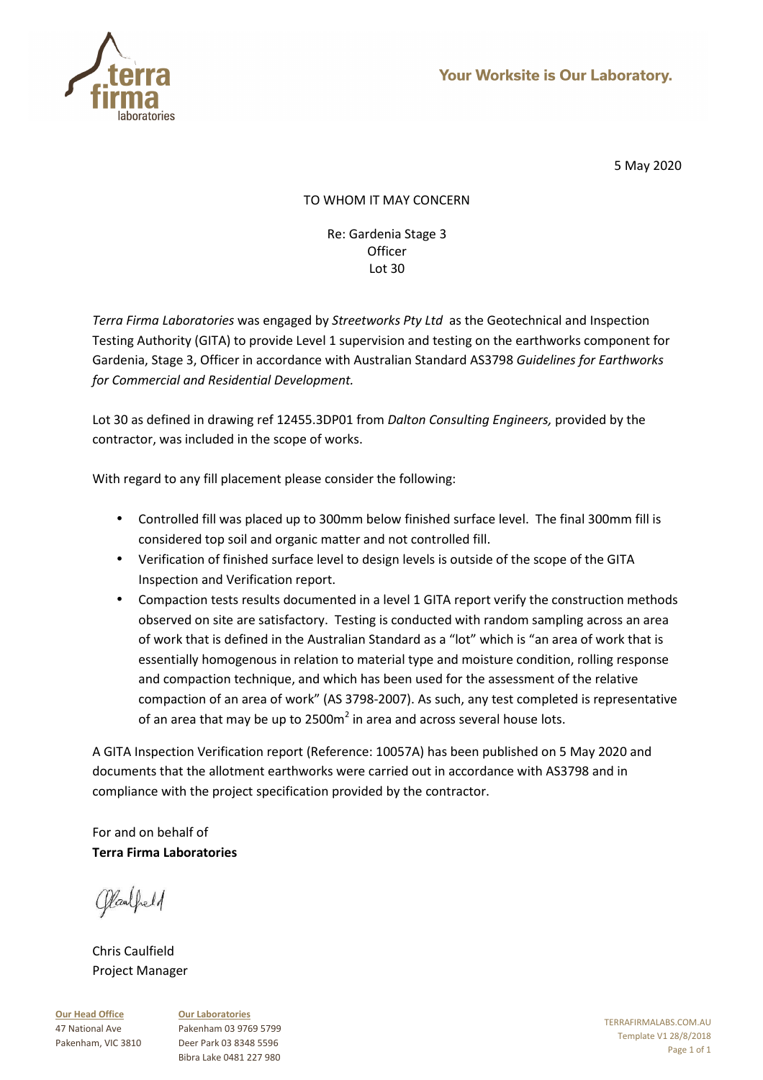

# TO WHOM IT MAY CONCERN

Re: Gardenia Stage 3 **Officer** Lot 30

*Terra Firma Laboratories* was engaged by *Streetworks Pty Ltd* as the Geotechnical and Inspection Testing Authority (GITA) to provide Level 1 supervision and testing on the earthworks component for Gardenia, Stage 3, Officer in accordance with Australian Standard AS3798 *Guidelines for Earthworks for Commercial and Residential Development.* 

Lot 30 as defined in drawing ref 12455.3DP01 from *Dalton Consulting Engineers,* provided by the contractor, was included in the scope of works.

With regard to any fill placement please consider the following:

- Controlled fill was placed up to 300mm below finished surface level. The final 300mm fill is considered top soil and organic matter and not controlled fill.
- Verification of finished surface level to design levels is outside of the scope of the GITA Inspection and Verification report.
- Compaction tests results documented in a level 1 GITA report verify the construction methods observed on site are satisfactory. Testing is conducted with random sampling across an area of work that is defined in the Australian Standard as a "lot" which is "an area of work that is essentially homogenous in relation to material type and moisture condition, rolling response and compaction technique, and which has been used for the assessment of the relative compaction of an area of work" (AS 3798-2007). As such, any test completed is representative of an area that may be up to 2500m<sup>2</sup> in area and across several house lots.

A GITA Inspection Verification report (Reference: 10057A) has been published on 5 May 2020 and documents that the allotment earthworks were carried out in accordance with AS3798 and in compliance with the project specification provided by the contractor.

For and on behalf of **Terra Firma Laboratories** 

Claubeld

Chris Caulfield Project Manager

**Our Head Office** 47 National Ave Pakenham, VIC 3810 **Our Laboratories** Pakenham 03 9769 5799 Deer Park 03 8348 5596 Bibra Lake 0481 227 980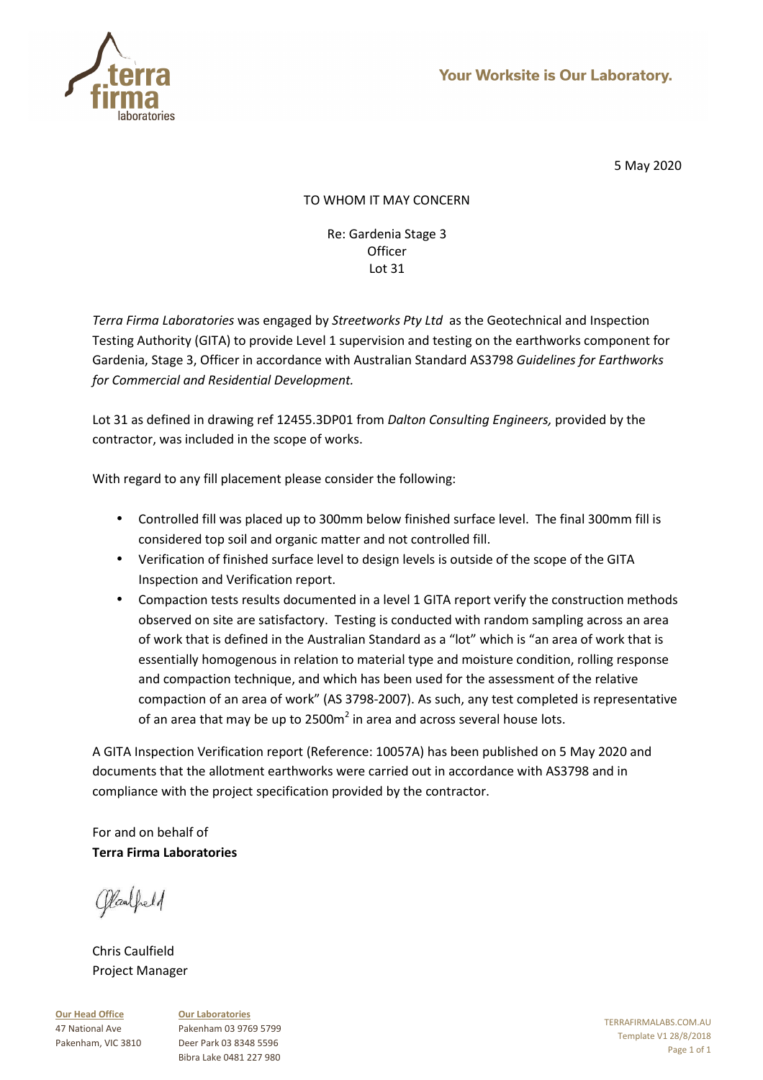

# TO WHOM IT MAY CONCERN

Re: Gardenia Stage 3 **Officer** Lot 31

*Terra Firma Laboratories* was engaged by *Streetworks Pty Ltd* as the Geotechnical and Inspection Testing Authority (GITA) to provide Level 1 supervision and testing on the earthworks component for Gardenia, Stage 3, Officer in accordance with Australian Standard AS3798 *Guidelines for Earthworks for Commercial and Residential Development.* 

Lot 31 as defined in drawing ref 12455.3DP01 from *Dalton Consulting Engineers,* provided by the contractor, was included in the scope of works.

With regard to any fill placement please consider the following:

- Controlled fill was placed up to 300mm below finished surface level. The final 300mm fill is considered top soil and organic matter and not controlled fill.
- Verification of finished surface level to design levels is outside of the scope of the GITA Inspection and Verification report.
- Compaction tests results documented in a level 1 GITA report verify the construction methods observed on site are satisfactory. Testing is conducted with random sampling across an area of work that is defined in the Australian Standard as a "lot" which is "an area of work that is essentially homogenous in relation to material type and moisture condition, rolling response and compaction technique, and which has been used for the assessment of the relative compaction of an area of work" (AS 3798-2007). As such, any test completed is representative of an area that may be up to 2500m<sup>2</sup> in area and across several house lots.

A GITA Inspection Verification report (Reference: 10057A) has been published on 5 May 2020 and documents that the allotment earthworks were carried out in accordance with AS3798 and in compliance with the project specification provided by the contractor.

For and on behalf of **Terra Firma Laboratories** 

Claubeld

Chris Caulfield Project Manager

**Our Head Office** 47 National Ave Pakenham, VIC 3810 **Our Laboratories** Pakenham 03 9769 5799 Deer Park 03 8348 5596 Bibra Lake 0481 227 980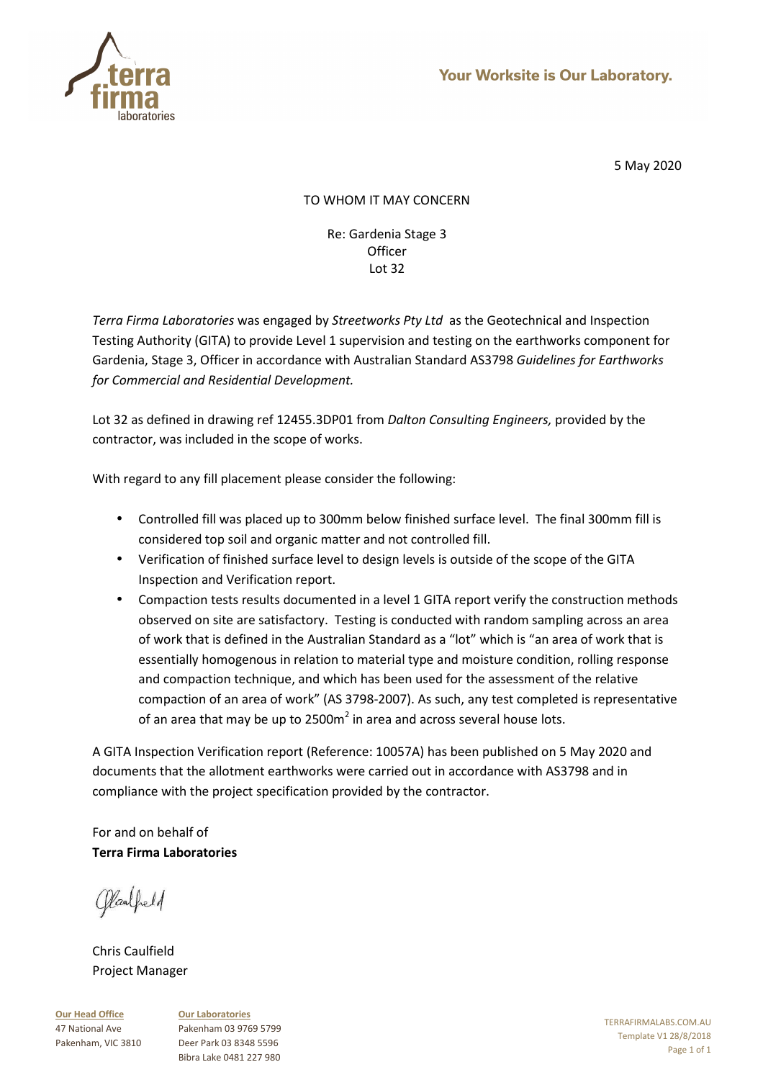

# TO WHOM IT MAY CONCERN

Re: Gardenia Stage 3 **Officer** Lot 32

*Terra Firma Laboratories* was engaged by *Streetworks Pty Ltd* as the Geotechnical and Inspection Testing Authority (GITA) to provide Level 1 supervision and testing on the earthworks component for Gardenia, Stage 3, Officer in accordance with Australian Standard AS3798 *Guidelines for Earthworks for Commercial and Residential Development.* 

Lot 32 as defined in drawing ref 12455.3DP01 from *Dalton Consulting Engineers,* provided by the contractor, was included in the scope of works.

With regard to any fill placement please consider the following:

- Controlled fill was placed up to 300mm below finished surface level. The final 300mm fill is considered top soil and organic matter and not controlled fill.
- Verification of finished surface level to design levels is outside of the scope of the GITA Inspection and Verification report.
- Compaction tests results documented in a level 1 GITA report verify the construction methods observed on site are satisfactory. Testing is conducted with random sampling across an area of work that is defined in the Australian Standard as a "lot" which is "an area of work that is essentially homogenous in relation to material type and moisture condition, rolling response and compaction technique, and which has been used for the assessment of the relative compaction of an area of work" (AS 3798-2007). As such, any test completed is representative of an area that may be up to 2500m<sup>2</sup> in area and across several house lots.

A GITA Inspection Verification report (Reference: 10057A) has been published on 5 May 2020 and documents that the allotment earthworks were carried out in accordance with AS3798 and in compliance with the project specification provided by the contractor.

For and on behalf of **Terra Firma Laboratories** 

Claubeld

Chris Caulfield Project Manager

**Our Head Office** 47 National Ave Pakenham, VIC 3810 **Our Laboratories** Pakenham 03 9769 5799 Deer Park 03 8348 5596 Bibra Lake 0481 227 980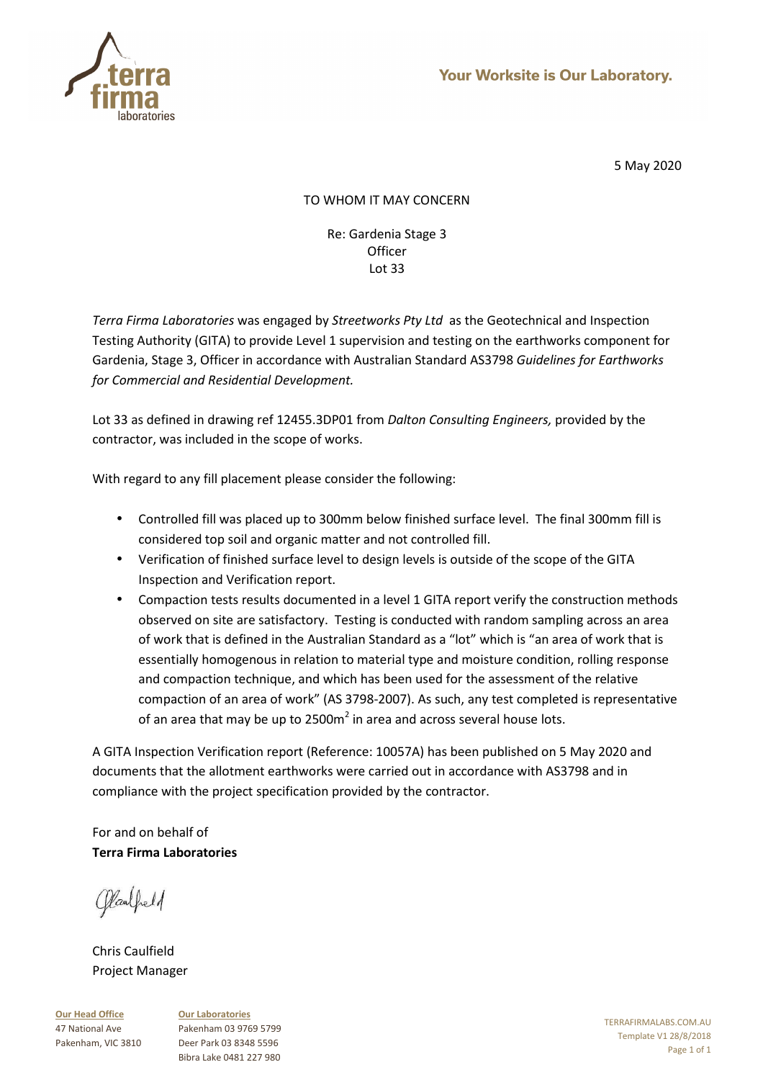

# TO WHOM IT MAY CONCERN

Re: Gardenia Stage 3 **Officer** Lot 33

*Terra Firma Laboratories* was engaged by *Streetworks Pty Ltd* as the Geotechnical and Inspection Testing Authority (GITA) to provide Level 1 supervision and testing on the earthworks component for Gardenia, Stage 3, Officer in accordance with Australian Standard AS3798 *Guidelines for Earthworks for Commercial and Residential Development.* 

Lot 33 as defined in drawing ref 12455.3DP01 from *Dalton Consulting Engineers,* provided by the contractor, was included in the scope of works.

With regard to any fill placement please consider the following:

- Controlled fill was placed up to 300mm below finished surface level. The final 300mm fill is considered top soil and organic matter and not controlled fill.
- Verification of finished surface level to design levels is outside of the scope of the GITA Inspection and Verification report.
- Compaction tests results documented in a level 1 GITA report verify the construction methods observed on site are satisfactory. Testing is conducted with random sampling across an area of work that is defined in the Australian Standard as a "lot" which is "an area of work that is essentially homogenous in relation to material type and moisture condition, rolling response and compaction technique, and which has been used for the assessment of the relative compaction of an area of work" (AS 3798-2007). As such, any test completed is representative of an area that may be up to 2500m<sup>2</sup> in area and across several house lots.

A GITA Inspection Verification report (Reference: 10057A) has been published on 5 May 2020 and documents that the allotment earthworks were carried out in accordance with AS3798 and in compliance with the project specification provided by the contractor.

For and on behalf of **Terra Firma Laboratories** 

Claubeld

Chris Caulfield Project Manager

**Our Head Office** 47 National Ave Pakenham, VIC 3810 **Our Laboratories** Pakenham 03 9769 5799 Deer Park 03 8348 5596 Bibra Lake 0481 227 980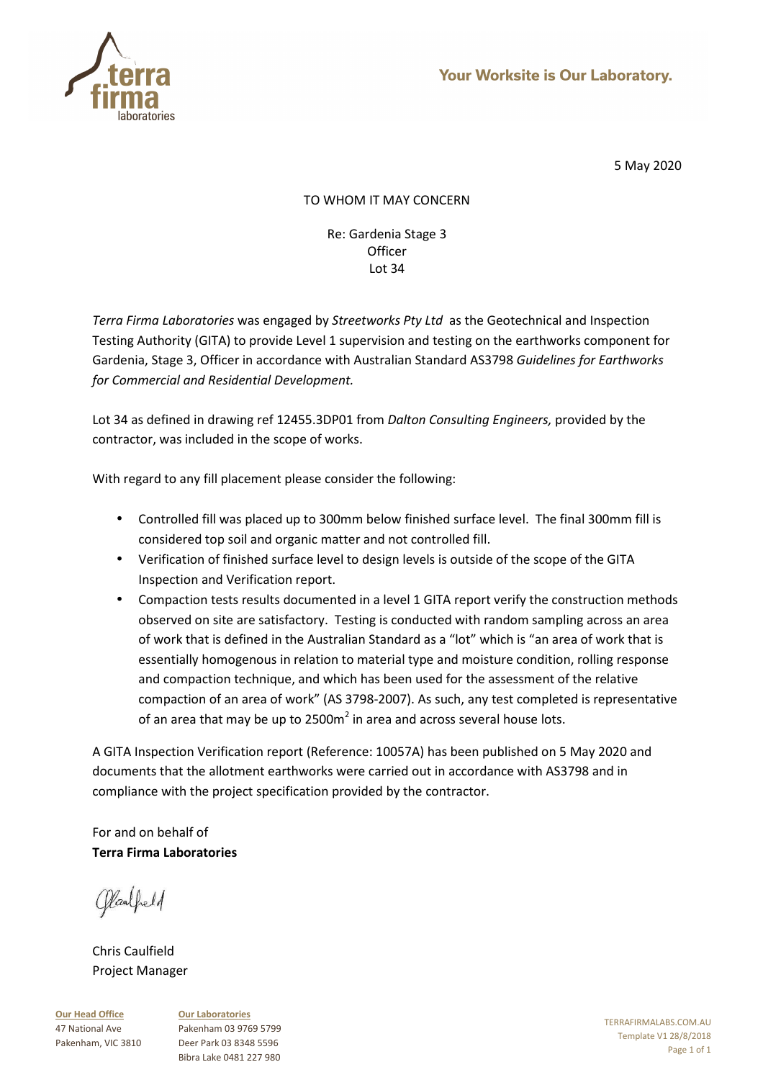

# TO WHOM IT MAY CONCERN

Re: Gardenia Stage 3 **Officer** Lot 34

*Terra Firma Laboratories* was engaged by *Streetworks Pty Ltd* as the Geotechnical and Inspection Testing Authority (GITA) to provide Level 1 supervision and testing on the earthworks component for Gardenia, Stage 3, Officer in accordance with Australian Standard AS3798 *Guidelines for Earthworks for Commercial and Residential Development.* 

Lot 34 as defined in drawing ref 12455.3DP01 from *Dalton Consulting Engineers,* provided by the contractor, was included in the scope of works.

With regard to any fill placement please consider the following:

- Controlled fill was placed up to 300mm below finished surface level. The final 300mm fill is considered top soil and organic matter and not controlled fill.
- Verification of finished surface level to design levels is outside of the scope of the GITA Inspection and Verification report.
- Compaction tests results documented in a level 1 GITA report verify the construction methods observed on site are satisfactory. Testing is conducted with random sampling across an area of work that is defined in the Australian Standard as a "lot" which is "an area of work that is essentially homogenous in relation to material type and moisture condition, rolling response and compaction technique, and which has been used for the assessment of the relative compaction of an area of work" (AS 3798-2007). As such, any test completed is representative of an area that may be up to 2500m<sup>2</sup> in area and across several house lots.

A GITA Inspection Verification report (Reference: 10057A) has been published on 5 May 2020 and documents that the allotment earthworks were carried out in accordance with AS3798 and in compliance with the project specification provided by the contractor.

For and on behalf of **Terra Firma Laboratories** 

Claubeld

Chris Caulfield Project Manager

**Our Head Office** 47 National Ave Pakenham, VIC 3810 **Our Laboratories** Pakenham 03 9769 5799 Deer Park 03 8348 5596 Bibra Lake 0481 227 980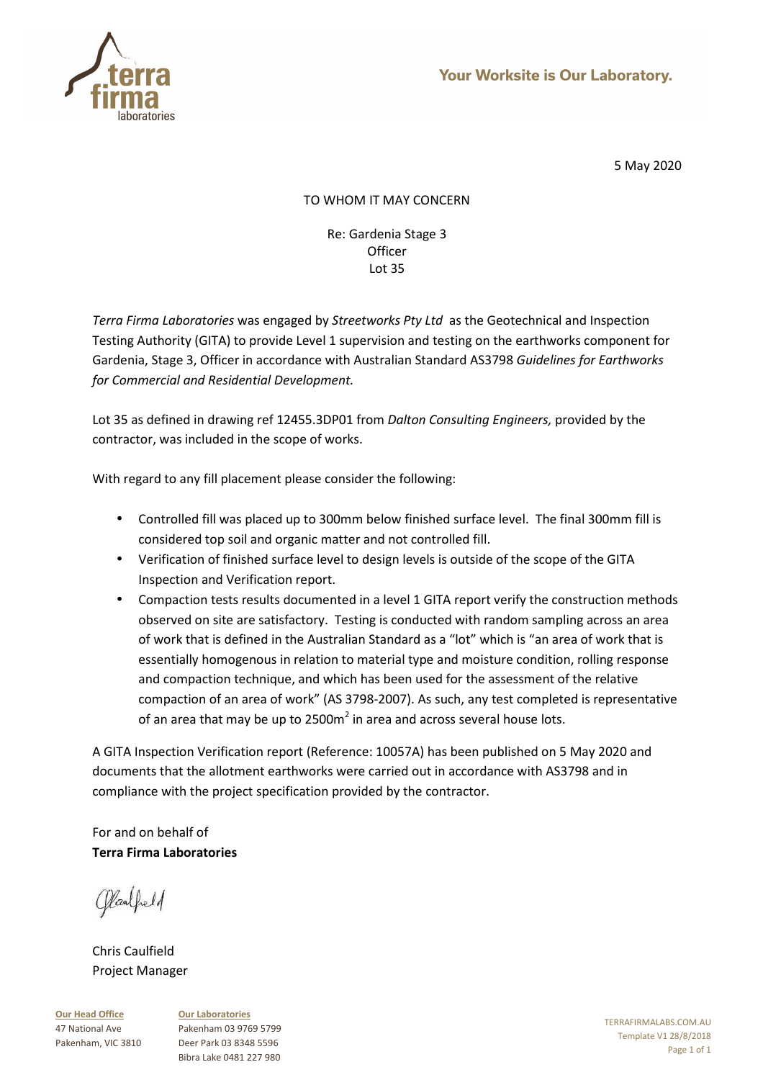

# TO WHOM IT MAY CONCERN

Re: Gardenia Stage 3 **Officer** Lot 35

*Terra Firma Laboratories* was engaged by *Streetworks Pty Ltd* as the Geotechnical and Inspection Testing Authority (GITA) to provide Level 1 supervision and testing on the earthworks component for Gardenia, Stage 3, Officer in accordance with Australian Standard AS3798 *Guidelines for Earthworks for Commercial and Residential Development.* 

Lot 35 as defined in drawing ref 12455.3DP01 from *Dalton Consulting Engineers,* provided by the contractor, was included in the scope of works.

With regard to any fill placement please consider the following:

- Controlled fill was placed up to 300mm below finished surface level. The final 300mm fill is considered top soil and organic matter and not controlled fill.
- Verification of finished surface level to design levels is outside of the scope of the GITA Inspection and Verification report.
- Compaction tests results documented in a level 1 GITA report verify the construction methods observed on site are satisfactory. Testing is conducted with random sampling across an area of work that is defined in the Australian Standard as a "lot" which is "an area of work that is essentially homogenous in relation to material type and moisture condition, rolling response and compaction technique, and which has been used for the assessment of the relative compaction of an area of work" (AS 3798-2007). As such, any test completed is representative of an area that may be up to 2500m<sup>2</sup> in area and across several house lots.

A GITA Inspection Verification report (Reference: 10057A) has been published on 5 May 2020 and documents that the allotment earthworks were carried out in accordance with AS3798 and in compliance with the project specification provided by the contractor.

For and on behalf of **Terra Firma Laboratories** 

Claubeld

Chris Caulfield Project Manager

**Our Head Office** 47 National Ave Pakenham, VIC 3810 **Our Laboratories** Pakenham 03 9769 5799 Deer Park 03 8348 5596 Bibra Lake 0481 227 980